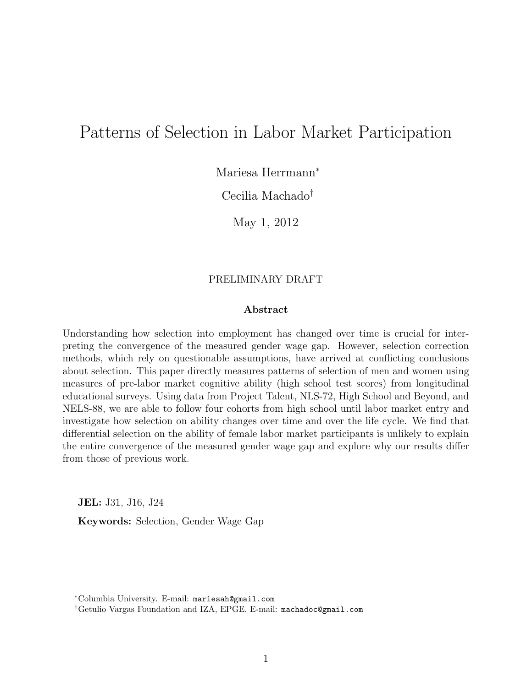# Patterns of Selection in Labor Market Participation

Mariesa Herrmann<sup>∗</sup>

Cecilia Machado†

May 1, 2012

#### PRELIMINARY DRAFT

#### Abstract

Understanding how selection into employment has changed over time is crucial for interpreting the convergence of the measured gender wage gap. However, selection correction methods, which rely on questionable assumptions, have arrived at conflicting conclusions about selection. This paper directly measures patterns of selection of men and women using measures of pre-labor market cognitive ability (high school test scores) from longitudinal educational surveys. Using data from Project Talent, NLS-72, High School and Beyond, and NELS-88, we are able to follow four cohorts from high school until labor market entry and investigate how selection on ability changes over time and over the life cycle. We find that differential selection on the ability of female labor market participants is unlikely to explain the entire convergence of the measured gender wage gap and explore why our results differ from those of previous work.

JEL: J31, J16, J24 Keywords: Selection, Gender Wage Gap

<sup>∗</sup>Columbia University. E-mail: mariesah@gmail.com

<sup>†</sup>Getulio Vargas Foundation and IZA, EPGE. E-mail: machadoc@gmail.com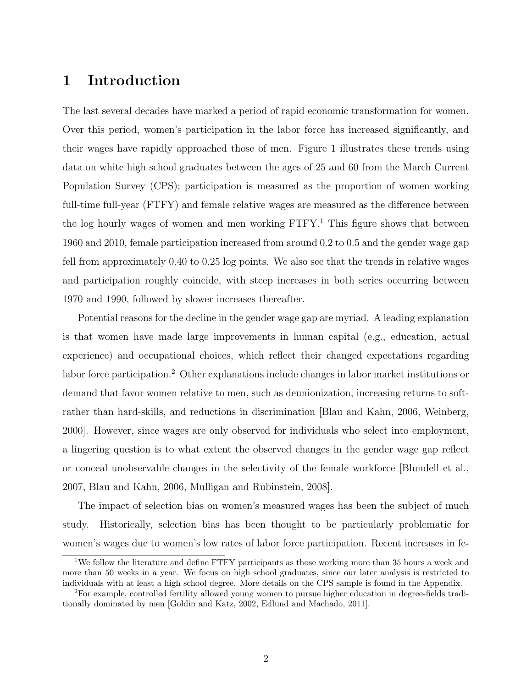# 1 Introduction

The last several decades have marked a period of rapid economic transformation for women. Over this period, women's participation in the labor force has increased significantly, and their wages have rapidly approached those of men. Figure 1 illustrates these trends using data on white high school graduates between the ages of 25 and 60 from the March Current Population Survey (CPS); participation is measured as the proportion of women working full-time full-year (FTFY) and female relative wages are measured as the difference between the log hourly wages of women and men working FTFY.<sup>1</sup> This figure shows that between 1960 and 2010, female participation increased from around 0.2 to 0.5 and the gender wage gap fell from approximately 0.40 to 0.25 log points. We also see that the trends in relative wages and participation roughly coincide, with steep increases in both series occurring between 1970 and 1990, followed by slower increases thereafter.

Potential reasons for the decline in the gender wage gap are myriad. A leading explanation is that women have made large improvements in human capital (e.g., education, actual experience) and occupational choices, which reflect their changed expectations regarding labor force participation.<sup>2</sup> Other explanations include changes in labor market institutions or demand that favor women relative to men, such as deunionization, increasing returns to softrather than hard-skills, and reductions in discrimination [Blau and Kahn, 2006, Weinberg, 2000]. However, since wages are only observed for individuals who select into employment, a lingering question is to what extent the observed changes in the gender wage gap reflect or conceal unobservable changes in the selectivity of the female workforce [Blundell et al., 2007, Blau and Kahn, 2006, Mulligan and Rubinstein, 2008].

The impact of selection bias on women's measured wages has been the subject of much study. Historically, selection bias has been thought to be particularly problematic for women's wages due to women's low rates of labor force participation. Recent increases in fe-

<sup>&</sup>lt;sup>1</sup>We follow the literature and define FTFY participants as those working more than 35 hours a week and more than 50 weeks in a year. We focus on high school graduates, since our later analysis is restricted to individuals with at least a high school degree. More details on the CPS sample is found in the Appendix.

<sup>2</sup>For example, controlled fertility allowed young women to pursue higher education in degree-fields traditionally dominated by men [Goldin and Katz, 2002, Edlund and Machado, 2011].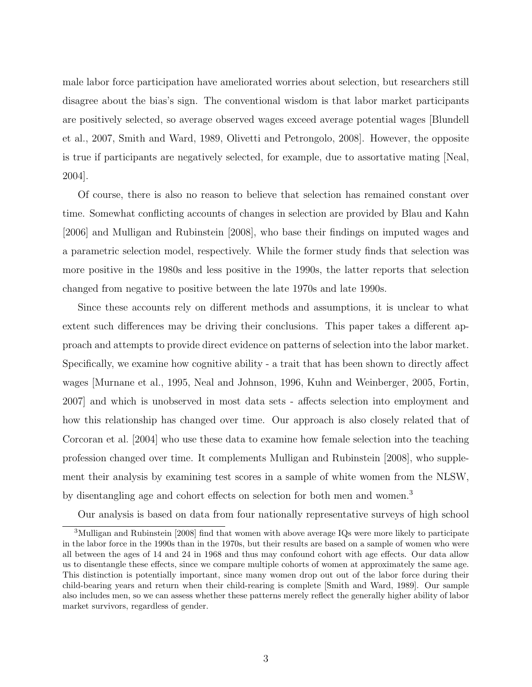male labor force participation have ameliorated worries about selection, but researchers still disagree about the bias's sign. The conventional wisdom is that labor market participants are positively selected, so average observed wages exceed average potential wages [Blundell et al., 2007, Smith and Ward, 1989, Olivetti and Petrongolo, 2008]. However, the opposite is true if participants are negatively selected, for example, due to assortative mating [Neal, 2004].

Of course, there is also no reason to believe that selection has remained constant over time. Somewhat conflicting accounts of changes in selection are provided by Blau and Kahn [2006] and Mulligan and Rubinstein [2008], who base their findings on imputed wages and a parametric selection model, respectively. While the former study finds that selection was more positive in the 1980s and less positive in the 1990s, the latter reports that selection changed from negative to positive between the late 1970s and late 1990s.

Since these accounts rely on different methods and assumptions, it is unclear to what extent such differences may be driving their conclusions. This paper takes a different approach and attempts to provide direct evidence on patterns of selection into the labor market. Specifically, we examine how cognitive ability - a trait that has been shown to directly affect wages [Murnane et al., 1995, Neal and Johnson, 1996, Kuhn and Weinberger, 2005, Fortin, 2007] and which is unobserved in most data sets - affects selection into employment and how this relationship has changed over time. Our approach is also closely related that of Corcoran et al. [2004] who use these data to examine how female selection into the teaching profession changed over time. It complements Mulligan and Rubinstein [2008], who supplement their analysis by examining test scores in a sample of white women from the NLSW, by disentangling age and cohort effects on selection for both men and women.<sup>3</sup>

Our analysis is based on data from four nationally representative surveys of high school

<sup>&</sup>lt;sup>3</sup>Mulligan and Rubinstein [2008] find that women with above average IQs were more likely to participate in the labor force in the 1990s than in the 1970s, but their results are based on a sample of women who were all between the ages of 14 and 24 in 1968 and thus may confound cohort with age effects. Our data allow us to disentangle these effects, since we compare multiple cohorts of women at approximately the same age. This distinction is potentially important, since many women drop out out of the labor force during their child-bearing years and return when their child-rearing is complete [Smith and Ward, 1989]. Our sample also includes men, so we can assess whether these patterns merely reflect the generally higher ability of labor market survivors, regardless of gender.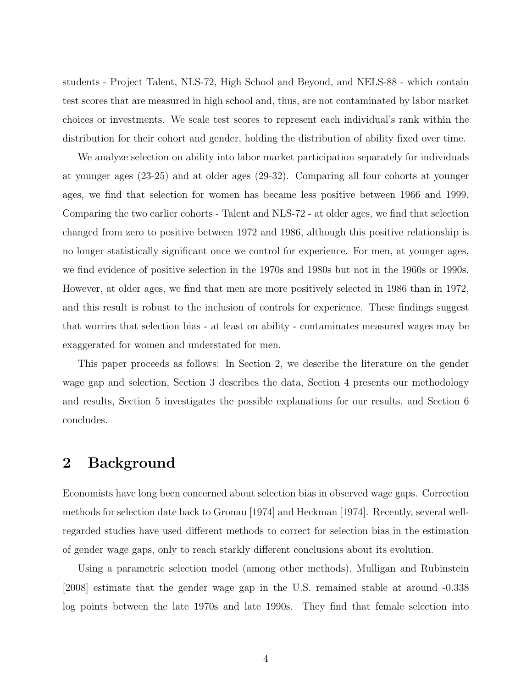students - Project Talent, NLS-72, High School and Beyond, and NELS-88 - which contain test scores that are measured in high school and, thus, are not contaminated by labor market choices or investments. We scale test scores to represent each individual's rank within the distribution for their cohort and gender, holding the distribution of ability fixed over time.

We analyze selection on ability into labor market participation separately for individuals at younger ages (23-25) and at older ages (29-32). Comparing all four cohorts at younger ages, we find that selection for women has became less positive between 1966 and 1999. Comparing the two earlier cohorts - Talent and NLS-72 - at older ages, we find that selection changed from zero to positive between 1972 and 1986, although this positive relationship is no longer statistically significant once we control for experience. For men, at younger ages, we find evidence of positive selection in the 1970s and 1980s but not in the 1960s or 1990s. However, at older ages, we find that men are more positively selected in 1986 than in 1972, and this result is robust to the inclusion of controls for experience. These findings suggest that worries that selection bias - at least on ability - contaminates measured wages may be exaggerated for women and understated for men.

This paper proceeds as follows: In Section 2, we describe the literature on the gender wage gap and selection, Section 3 describes the data, Section 4 presents our methodology and results, Section 5 investigates the possible explanations for our results, and Section 6 concludes.

### 2 Background

Economists have long been concerned about selection bias in observed wage gaps. Correction methods for selection date back to Gronau [1974] and Heckman [1974]. Recently, several wellregarded studies have used different methods to correct for selection bias in the estimation of gender wage gaps, only to reach starkly different conclusions about its evolution.

Using a parametric selection model (among other methods), Mulligan and Rubinstein [2008] estimate that the gender wage gap in the U.S. remained stable at around -0.338 log points between the late 1970s and late 1990s. They find that female selection into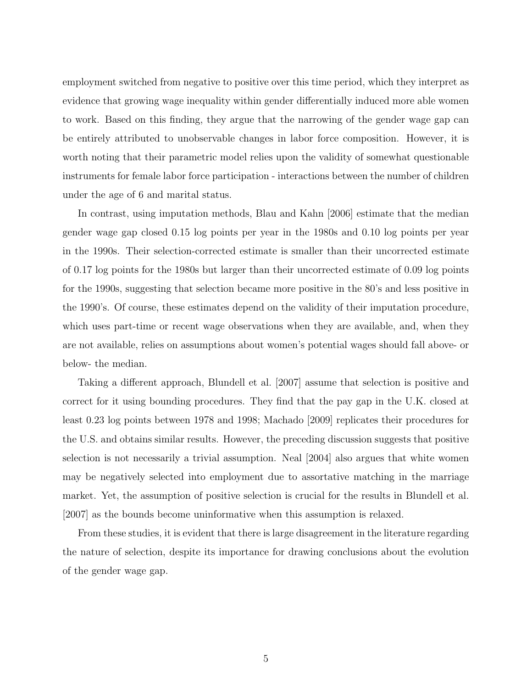employment switched from negative to positive over this time period, which they interpret as evidence that growing wage inequality within gender differentially induced more able women to work. Based on this finding, they argue that the narrowing of the gender wage gap can be entirely attributed to unobservable changes in labor force composition. However, it is worth noting that their parametric model relies upon the validity of somewhat questionable instruments for female labor force participation - interactions between the number of children under the age of 6 and marital status.

In contrast, using imputation methods, Blau and Kahn [2006] estimate that the median gender wage gap closed 0.15 log points per year in the 1980s and 0.10 log points per year in the 1990s. Their selection-corrected estimate is smaller than their uncorrected estimate of 0.17 log points for the 1980s but larger than their uncorrected estimate of 0.09 log points for the 1990s, suggesting that selection became more positive in the 80's and less positive in the 1990's. Of course, these estimates depend on the validity of their imputation procedure, which uses part-time or recent wage observations when they are available, and, when they are not available, relies on assumptions about women's potential wages should fall above- or below- the median.

Taking a different approach, Blundell et al. [2007] assume that selection is positive and correct for it using bounding procedures. They find that the pay gap in the U.K. closed at least 0.23 log points between 1978 and 1998; Machado [2009] replicates their procedures for the U.S. and obtains similar results. However, the preceding discussion suggests that positive selection is not necessarily a trivial assumption. Neal [2004] also argues that white women may be negatively selected into employment due to assortative matching in the marriage market. Yet, the assumption of positive selection is crucial for the results in Blundell et al. [2007] as the bounds become uninformative when this assumption is relaxed.

From these studies, it is evident that there is large disagreement in the literature regarding the nature of selection, despite its importance for drawing conclusions about the evolution of the gender wage gap.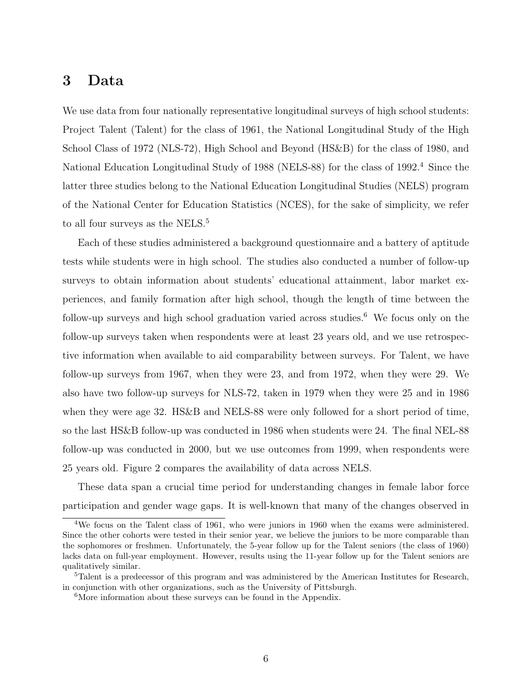# 3 Data

We use data from four nationally representative longitudinal surveys of high school students: Project Talent (Talent) for the class of 1961, the National Longitudinal Study of the High School Class of 1972 (NLS-72), High School and Beyond (HS&B) for the class of 1980, and National Education Longitudinal Study of 1988 (NELS-88) for the class of 1992.<sup>4</sup> Since the latter three studies belong to the National Education Longitudinal Studies (NELS) program of the National Center for Education Statistics (NCES), for the sake of simplicity, we refer to all four surveys as the NELS.<sup>5</sup>

Each of these studies administered a background questionnaire and a battery of aptitude tests while students were in high school. The studies also conducted a number of follow-up surveys to obtain information about students' educational attainment, labor market experiences, and family formation after high school, though the length of time between the follow-up surveys and high school graduation varied across studies.<sup>6</sup> We focus only on the follow-up surveys taken when respondents were at least 23 years old, and we use retrospective information when available to aid comparability between surveys. For Talent, we have follow-up surveys from 1967, when they were 23, and from 1972, when they were 29. We also have two follow-up surveys for NLS-72, taken in 1979 when they were 25 and in 1986 when they were age 32. HS&B and NELS-88 were only followed for a short period of time, so the last HS&B follow-up was conducted in 1986 when students were 24. The final NEL-88 follow-up was conducted in 2000, but we use outcomes from 1999, when respondents were 25 years old. Figure 2 compares the availability of data across NELS.

These data span a crucial time period for understanding changes in female labor force participation and gender wage gaps. It is well-known that many of the changes observed in

<sup>4</sup>We focus on the Talent class of 1961, who were juniors in 1960 when the exams were administered. Since the other cohorts were tested in their senior year, we believe the juniors to be more comparable than the sophomores or freshmen. Unfortunately, the 5-year follow up for the Talent seniors (the class of 1960) lacks data on full-year employment. However, results using the 11-year follow up for the Talent seniors are qualitatively similar.

<sup>&</sup>lt;sup>5</sup>Talent is a predecessor of this program and was administered by the American Institutes for Research, in conjunction with other organizations, such as the University of Pittsburgh.

<sup>&</sup>lt;sup>6</sup>More information about these surveys can be found in the Appendix.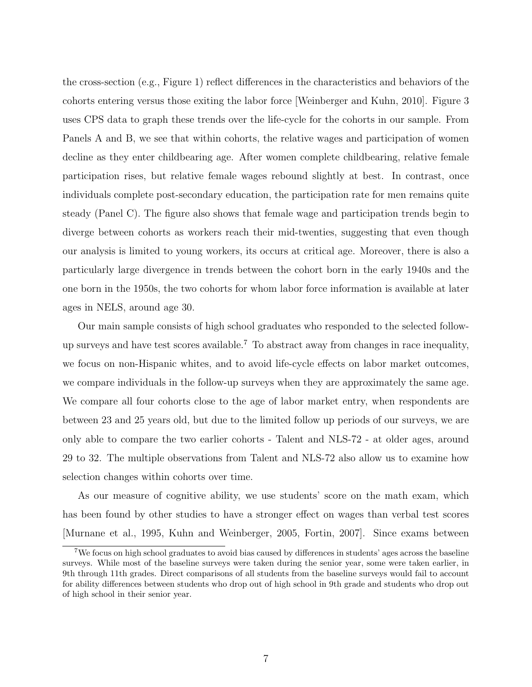the cross-section (e.g., Figure 1) reflect differences in the characteristics and behaviors of the cohorts entering versus those exiting the labor force [Weinberger and Kuhn, 2010]. Figure 3 uses CPS data to graph these trends over the life-cycle for the cohorts in our sample. From Panels A and B, we see that within cohorts, the relative wages and participation of women decline as they enter childbearing age. After women complete childbearing, relative female participation rises, but relative female wages rebound slightly at best. In contrast, once individuals complete post-secondary education, the participation rate for men remains quite steady (Panel C). The figure also shows that female wage and participation trends begin to diverge between cohorts as workers reach their mid-twenties, suggesting that even though our analysis is limited to young workers, its occurs at critical age. Moreover, there is also a particularly large divergence in trends between the cohort born in the early 1940s and the one born in the 1950s, the two cohorts for whom labor force information is available at later ages in NELS, around age 30.

Our main sample consists of high school graduates who responded to the selected followup surveys and have test scores available.<sup>7</sup> To abstract away from changes in race inequality, we focus on non-Hispanic whites, and to avoid life-cycle effects on labor market outcomes, we compare individuals in the follow-up surveys when they are approximately the same age. We compare all four cohorts close to the age of labor market entry, when respondents are between 23 and 25 years old, but due to the limited follow up periods of our surveys, we are only able to compare the two earlier cohorts - Talent and NLS-72 - at older ages, around 29 to 32. The multiple observations from Talent and NLS-72 also allow us to examine how selection changes within cohorts over time.

As our measure of cognitive ability, we use students' score on the math exam, which has been found by other studies to have a stronger effect on wages than verbal test scores [Murnane et al., 1995, Kuhn and Weinberger, 2005, Fortin, 2007]. Since exams between

<sup>7</sup>We focus on high school graduates to avoid bias caused by differences in students' ages across the baseline surveys. While most of the baseline surveys were taken during the senior year, some were taken earlier, in 9th through 11th grades. Direct comparisons of all students from the baseline surveys would fail to account for ability differences between students who drop out of high school in 9th grade and students who drop out of high school in their senior year.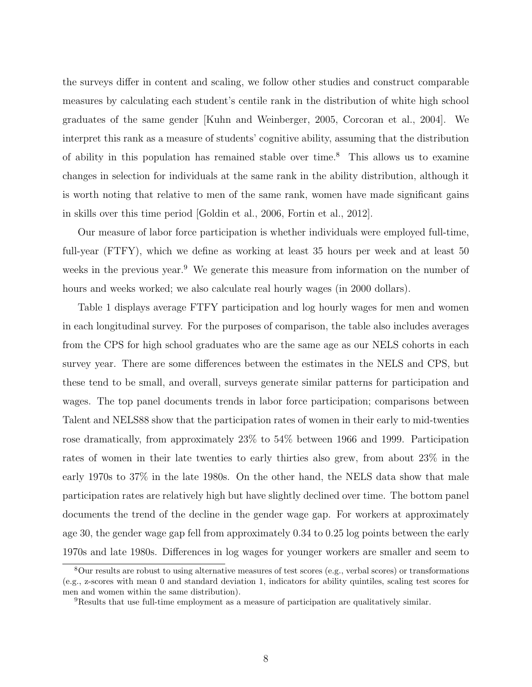the surveys differ in content and scaling, we follow other studies and construct comparable measures by calculating each student's centile rank in the distribution of white high school graduates of the same gender [Kuhn and Weinberger, 2005, Corcoran et al., 2004]. We interpret this rank as a measure of students' cognitive ability, assuming that the distribution of ability in this population has remained stable over time.<sup>8</sup> This allows us to examine changes in selection for individuals at the same rank in the ability distribution, although it is worth noting that relative to men of the same rank, women have made significant gains in skills over this time period [Goldin et al., 2006, Fortin et al., 2012].

Our measure of labor force participation is whether individuals were employed full-time, full-year (FTFY), which we define as working at least 35 hours per week and at least 50 weeks in the previous year.<sup>9</sup> We generate this measure from information on the number of hours and weeks worked; we also calculate real hourly wages (in 2000 dollars).

Table 1 displays average FTFY participation and log hourly wages for men and women in each longitudinal survey. For the purposes of comparison, the table also includes averages from the CPS for high school graduates who are the same age as our NELS cohorts in each survey year. There are some differences between the estimates in the NELS and CPS, but these tend to be small, and overall, surveys generate similar patterns for participation and wages. The top panel documents trends in labor force participation; comparisons between Talent and NELS88 show that the participation rates of women in their early to mid-twenties rose dramatically, from approximately 23% to 54% between 1966 and 1999. Participation rates of women in their late twenties to early thirties also grew, from about 23% in the early 1970s to 37% in the late 1980s. On the other hand, the NELS data show that male participation rates are relatively high but have slightly declined over time. The bottom panel documents the trend of the decline in the gender wage gap. For workers at approximately age 30, the gender wage gap fell from approximately 0.34 to 0.25 log points between the early 1970s and late 1980s. Differences in log wages for younger workers are smaller and seem to

<sup>8</sup>Our results are robust to using alternative measures of test scores (e.g., verbal scores) or transformations (e.g., z-scores with mean 0 and standard deviation 1, indicators for ability quintiles, scaling test scores for men and women within the same distribution).

<sup>9</sup>Results that use full-time employment as a measure of participation are qualitatively similar.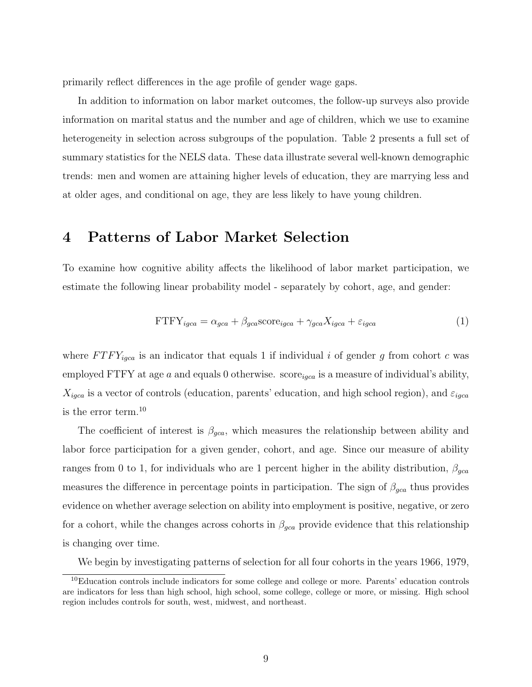primarily reflect differences in the age profile of gender wage gaps.

In addition to information on labor market outcomes, the follow-up surveys also provide information on marital status and the number and age of children, which we use to examine heterogeneity in selection across subgroups of the population. Table 2 presents a full set of summary statistics for the NELS data. These data illustrate several well-known demographic trends: men and women are attaining higher levels of education, they are marrying less and at older ages, and conditional on age, they are less likely to have young children.

### 4 Patterns of Labor Market Selection

To examine how cognitive ability affects the likelihood of labor market participation, we estimate the following linear probability model - separately by cohort, age, and gender:

$$
FTFY_{igca} = \alpha_{gca} + \beta_{gca} \text{score}_{igca} + \gamma_{gca} X_{igca} + \varepsilon_{igca}
$$
 (1)

where  $FTFY_{igca}$  is an indicator that equals 1 if individual i of gender g from cohort c was employed FTFY at age  $a$  and equals 0 otherwise. score<sub>igca</sub> is a measure of individual's ability,  $X_{igca}$  is a vector of controls (education, parents' education, and high school region), and  $\varepsilon_{igca}$ is the error term.<sup>10</sup>

The coefficient of interest is  $\beta_{gca}$ , which measures the relationship between ability and labor force participation for a given gender, cohort, and age. Since our measure of ability ranges from 0 to 1, for individuals who are 1 percent higher in the ability distribution,  $\beta_{gca}$ measures the difference in percentage points in participation. The sign of  $\beta_{gca}$  thus provides evidence on whether average selection on ability into employment is positive, negative, or zero for a cohort, while the changes across cohorts in  $\beta_{qca}$  provide evidence that this relationship is changing over time.

We begin by investigating patterns of selection for all four cohorts in the years 1966, 1979,

<sup>&</sup>lt;sup>10</sup>Education controls include indicators for some college and college or more. Parents' education controls are indicators for less than high school, high school, some college, college or more, or missing. High school region includes controls for south, west, midwest, and northeast.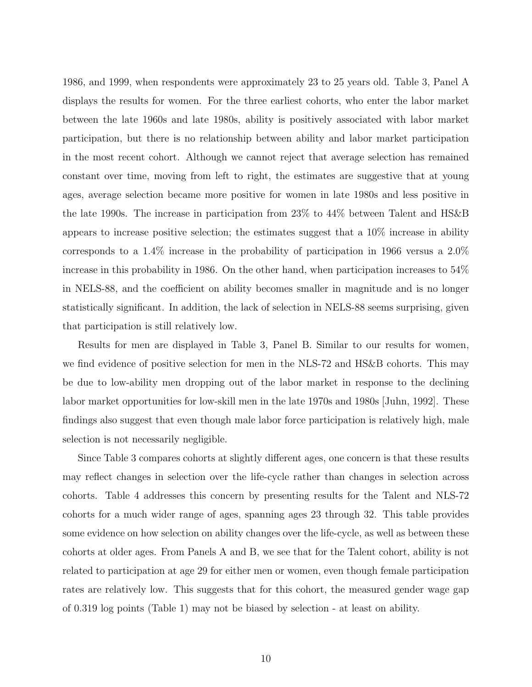1986, and 1999, when respondents were approximately 23 to 25 years old. Table 3, Panel A displays the results for women. For the three earliest cohorts, who enter the labor market between the late 1960s and late 1980s, ability is positively associated with labor market participation, but there is no relationship between ability and labor market participation in the most recent cohort. Although we cannot reject that average selection has remained constant over time, moving from left to right, the estimates are suggestive that at young ages, average selection became more positive for women in late 1980s and less positive in the late 1990s. The increase in participation from 23% to 44% between Talent and HS&B appears to increase positive selection; the estimates suggest that a 10% increase in ability corresponds to a 1.4% increase in the probability of participation in 1966 versus a 2.0% increase in this probability in 1986. On the other hand, when participation increases to 54% in NELS-88, and the coefficient on ability becomes smaller in magnitude and is no longer statistically significant. In addition, the lack of selection in NELS-88 seems surprising, given that participation is still relatively low.

Results for men are displayed in Table 3, Panel B. Similar to our results for women, we find evidence of positive selection for men in the NLS-72 and HS&B cohorts. This may be due to low-ability men dropping out of the labor market in response to the declining labor market opportunities for low-skill men in the late 1970s and 1980s [Juhn, 1992]. These findings also suggest that even though male labor force participation is relatively high, male selection is not necessarily negligible.

Since Table 3 compares cohorts at slightly different ages, one concern is that these results may reflect changes in selection over the life-cycle rather than changes in selection across cohorts. Table 4 addresses this concern by presenting results for the Talent and NLS-72 cohorts for a much wider range of ages, spanning ages 23 through 32. This table provides some evidence on how selection on ability changes over the life-cycle, as well as between these cohorts at older ages. From Panels A and B, we see that for the Talent cohort, ability is not related to participation at age 29 for either men or women, even though female participation rates are relatively low. This suggests that for this cohort, the measured gender wage gap of 0.319 log points (Table 1) may not be biased by selection - at least on ability.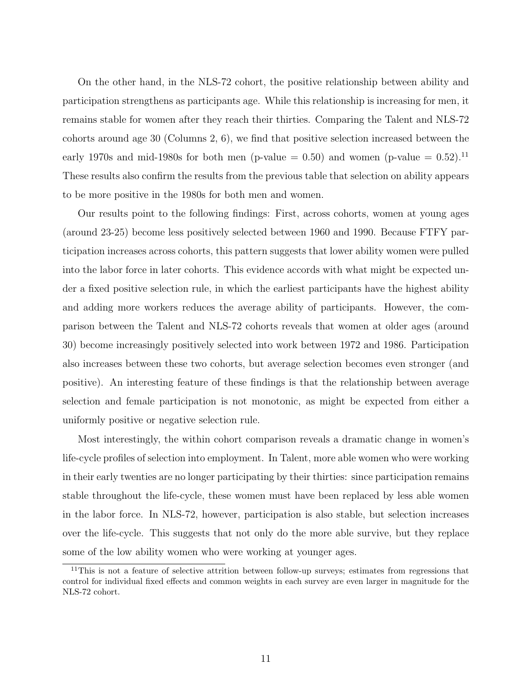On the other hand, in the NLS-72 cohort, the positive relationship between ability and participation strengthens as participants age. While this relationship is increasing for men, it remains stable for women after they reach their thirties. Comparing the Talent and NLS-72 cohorts around age 30 (Columns 2, 6), we find that positive selection increased between the early 1970s and mid-1980s for both men (p-value  $= 0.50$ ) and women (p-value  $= 0.52$ ).<sup>11</sup> These results also confirm the results from the previous table that selection on ability appears to be more positive in the 1980s for both men and women.

Our results point to the following findings: First, across cohorts, women at young ages (around 23-25) become less positively selected between 1960 and 1990. Because FTFY participation increases across cohorts, this pattern suggests that lower ability women were pulled into the labor force in later cohorts. This evidence accords with what might be expected under a fixed positive selection rule, in which the earliest participants have the highest ability and adding more workers reduces the average ability of participants. However, the comparison between the Talent and NLS-72 cohorts reveals that women at older ages (around 30) become increasingly positively selected into work between 1972 and 1986. Participation also increases between these two cohorts, but average selection becomes even stronger (and positive). An interesting feature of these findings is that the relationship between average selection and female participation is not monotonic, as might be expected from either a uniformly positive or negative selection rule.

Most interestingly, the within cohort comparison reveals a dramatic change in women's life-cycle profiles of selection into employment. In Talent, more able women who were working in their early twenties are no longer participating by their thirties: since participation remains stable throughout the life-cycle, these women must have been replaced by less able women in the labor force. In NLS-72, however, participation is also stable, but selection increases over the life-cycle. This suggests that not only do the more able survive, but they replace some of the low ability women who were working at younger ages.

<sup>&</sup>lt;sup>11</sup>This is not a feature of selective attrition between follow-up surveys; estimates from regressions that control for individual fixed effects and common weights in each survey are even larger in magnitude for the NLS-72 cohort.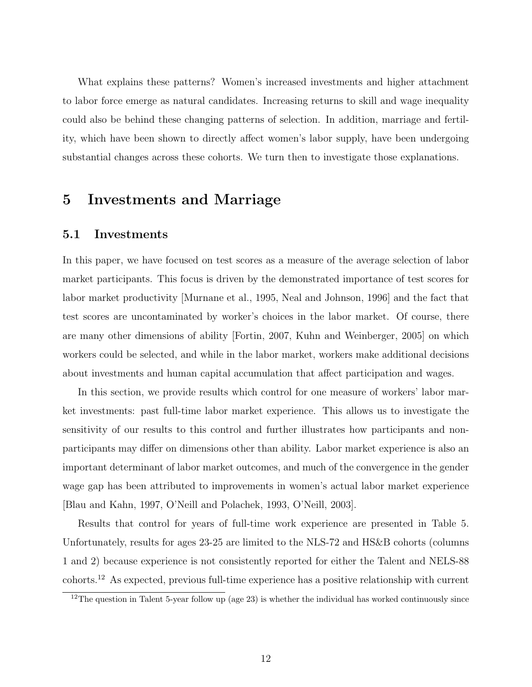What explains these patterns? Women's increased investments and higher attachment to labor force emerge as natural candidates. Increasing returns to skill and wage inequality could also be behind these changing patterns of selection. In addition, marriage and fertility, which have been shown to directly affect women's labor supply, have been undergoing substantial changes across these cohorts. We turn then to investigate those explanations.

### 5 Investments and Marriage

#### 5.1 Investments

In this paper, we have focused on test scores as a measure of the average selection of labor market participants. This focus is driven by the demonstrated importance of test scores for labor market productivity [Murnane et al., 1995, Neal and Johnson, 1996] and the fact that test scores are uncontaminated by worker's choices in the labor market. Of course, there are many other dimensions of ability [Fortin, 2007, Kuhn and Weinberger, 2005] on which workers could be selected, and while in the labor market, workers make additional decisions about investments and human capital accumulation that affect participation and wages.

In this section, we provide results which control for one measure of workers' labor market investments: past full-time labor market experience. This allows us to investigate the sensitivity of our results to this control and further illustrates how participants and nonparticipants may differ on dimensions other than ability. Labor market experience is also an important determinant of labor market outcomes, and much of the convergence in the gender wage gap has been attributed to improvements in women's actual labor market experience [Blau and Kahn, 1997, O'Neill and Polachek, 1993, O'Neill, 2003].

Results that control for years of full-time work experience are presented in Table 5. Unfortunately, results for ages 23-25 are limited to the NLS-72 and HS&B cohorts (columns 1 and 2) because experience is not consistently reported for either the Talent and NELS-88 cohorts.<sup>12</sup> As expected, previous full-time experience has a positive relationship with current

 $12$ The question in Talent 5-year follow up (age 23) is whether the individual has worked continuously since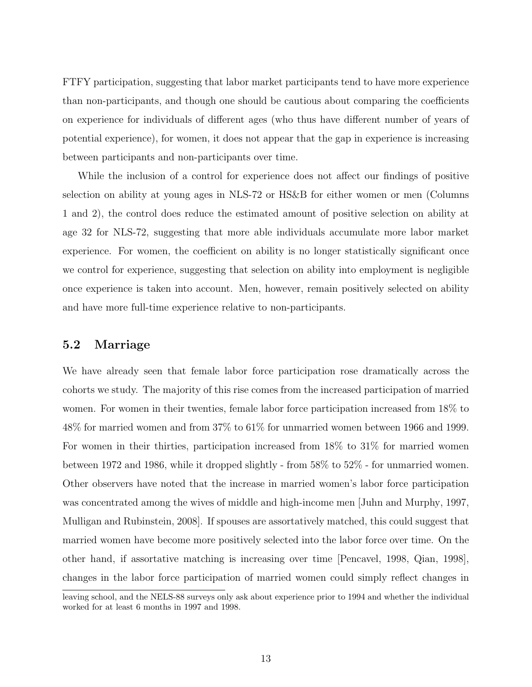FTFY participation, suggesting that labor market participants tend to have more experience than non-participants, and though one should be cautious about comparing the coefficients on experience for individuals of different ages (who thus have different number of years of potential experience), for women, it does not appear that the gap in experience is increasing between participants and non-participants over time.

While the inclusion of a control for experience does not affect our findings of positive selection on ability at young ages in NLS-72 or HS&B for either women or men (Columns 1 and 2), the control does reduce the estimated amount of positive selection on ability at age 32 for NLS-72, suggesting that more able individuals accumulate more labor market experience. For women, the coefficient on ability is no longer statistically significant once we control for experience, suggesting that selection on ability into employment is negligible once experience is taken into account. Men, however, remain positively selected on ability and have more full-time experience relative to non-participants.

#### 5.2 Marriage

We have already seen that female labor force participation rose dramatically across the cohorts we study. The majority of this rise comes from the increased participation of married women. For women in their twenties, female labor force participation increased from 18% to 48% for married women and from 37% to 61% for unmarried women between 1966 and 1999. For women in their thirties, participation increased from 18% to 31% for married women between 1972 and 1986, while it dropped slightly - from 58% to 52% - for unmarried women. Other observers have noted that the increase in married women's labor force participation was concentrated among the wives of middle and high-income men [Juhn and Murphy, 1997, Mulligan and Rubinstein, 2008]. If spouses are assortatively matched, this could suggest that married women have become more positively selected into the labor force over time. On the other hand, if assortative matching is increasing over time [Pencavel, 1998, Qian, 1998], changes in the labor force participation of married women could simply reflect changes in

leaving school, and the NELS-88 surveys only ask about experience prior to 1994 and whether the individual worked for at least 6 months in 1997 and 1998.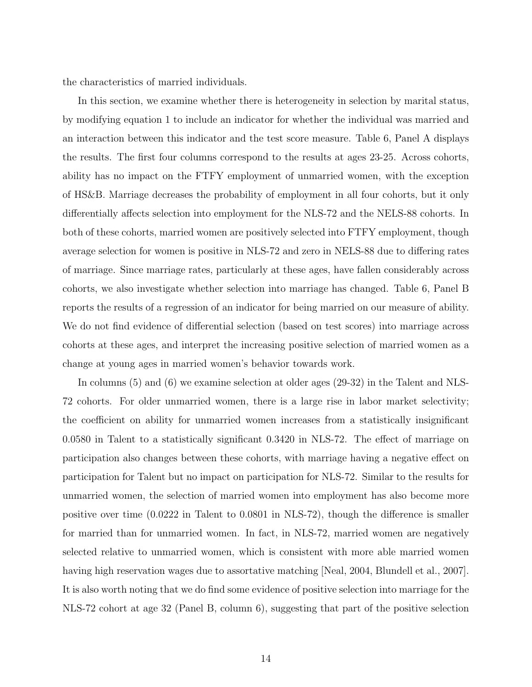the characteristics of married individuals.

In this section, we examine whether there is heterogeneity in selection by marital status, by modifying equation 1 to include an indicator for whether the individual was married and an interaction between this indicator and the test score measure. Table 6, Panel A displays the results. The first four columns correspond to the results at ages 23-25. Across cohorts, ability has no impact on the FTFY employment of unmarried women, with the exception of HS&B. Marriage decreases the probability of employment in all four cohorts, but it only differentially affects selection into employment for the NLS-72 and the NELS-88 cohorts. In both of these cohorts, married women are positively selected into FTFY employment, though average selection for women is positive in NLS-72 and zero in NELS-88 due to differing rates of marriage. Since marriage rates, particularly at these ages, have fallen considerably across cohorts, we also investigate whether selection into marriage has changed. Table 6, Panel B reports the results of a regression of an indicator for being married on our measure of ability. We do not find evidence of differential selection (based on test scores) into marriage across cohorts at these ages, and interpret the increasing positive selection of married women as a change at young ages in married women's behavior towards work.

In columns (5) and (6) we examine selection at older ages (29-32) in the Talent and NLS-72 cohorts. For older unmarried women, there is a large rise in labor market selectivity; the coefficient on ability for unmarried women increases from a statistically insignificant 0.0580 in Talent to a statistically significant 0.3420 in NLS-72. The effect of marriage on participation also changes between these cohorts, with marriage having a negative effect on participation for Talent but no impact on participation for NLS-72. Similar to the results for unmarried women, the selection of married women into employment has also become more positive over time (0.0222 in Talent to 0.0801 in NLS-72), though the difference is smaller for married than for unmarried women. In fact, in NLS-72, married women are negatively selected relative to unmarried women, which is consistent with more able married women having high reservation wages due to assortative matching [Neal, 2004, Blundell et al., 2007]. It is also worth noting that we do find some evidence of positive selection into marriage for the NLS-72 cohort at age 32 (Panel B, column 6), suggesting that part of the positive selection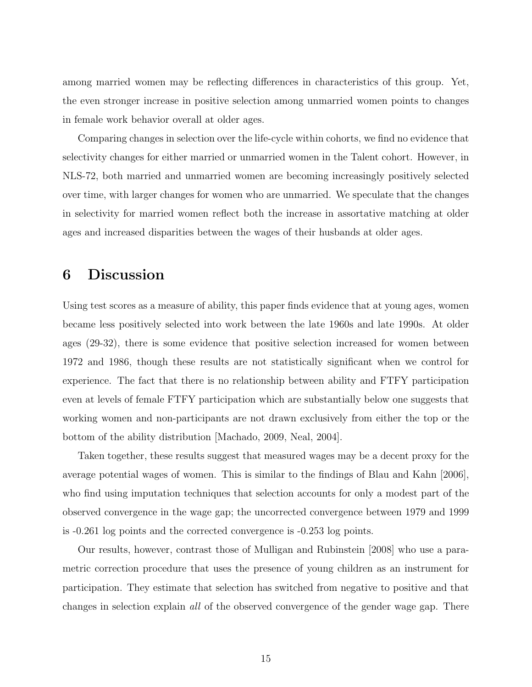among married women may be reflecting differences in characteristics of this group. Yet, the even stronger increase in positive selection among unmarried women points to changes in female work behavior overall at older ages.

Comparing changes in selection over the life-cycle within cohorts, we find no evidence that selectivity changes for either married or unmarried women in the Talent cohort. However, in NLS-72, both married and unmarried women are becoming increasingly positively selected over time, with larger changes for women who are unmarried. We speculate that the changes in selectivity for married women reflect both the increase in assortative matching at older ages and increased disparities between the wages of their husbands at older ages.

# 6 Discussion

Using test scores as a measure of ability, this paper finds evidence that at young ages, women became less positively selected into work between the late 1960s and late 1990s. At older ages (29-32), there is some evidence that positive selection increased for women between 1972 and 1986, though these results are not statistically significant when we control for experience. The fact that there is no relationship between ability and FTFY participation even at levels of female FTFY participation which are substantially below one suggests that working women and non-participants are not drawn exclusively from either the top or the bottom of the ability distribution [Machado, 2009, Neal, 2004].

Taken together, these results suggest that measured wages may be a decent proxy for the average potential wages of women. This is similar to the findings of Blau and Kahn [2006], who find using imputation techniques that selection accounts for only a modest part of the observed convergence in the wage gap; the uncorrected convergence between 1979 and 1999 is -0.261 log points and the corrected convergence is -0.253 log points.

Our results, however, contrast those of Mulligan and Rubinstein [2008] who use a parametric correction procedure that uses the presence of young children as an instrument for participation. They estimate that selection has switched from negative to positive and that changes in selection explain all of the observed convergence of the gender wage gap. There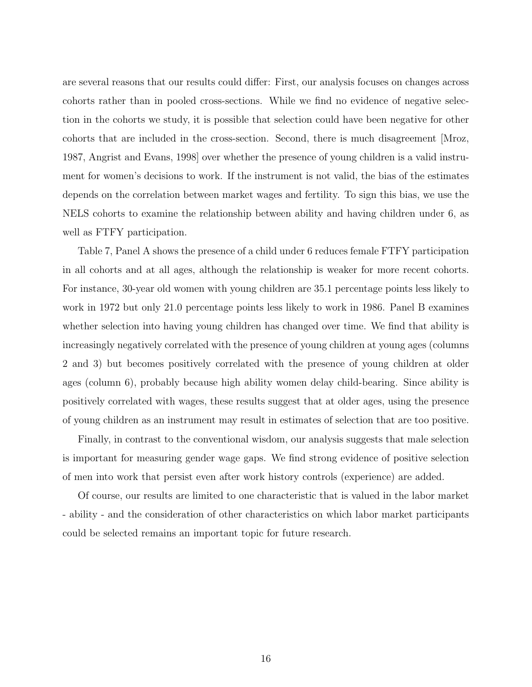are several reasons that our results could differ: First, our analysis focuses on changes across cohorts rather than in pooled cross-sections. While we find no evidence of negative selection in the cohorts we study, it is possible that selection could have been negative for other cohorts that are included in the cross-section. Second, there is much disagreement [Mroz, 1987, Angrist and Evans, 1998] over whether the presence of young children is a valid instrument for women's decisions to work. If the instrument is not valid, the bias of the estimates depends on the correlation between market wages and fertility. To sign this bias, we use the NELS cohorts to examine the relationship between ability and having children under 6, as well as FTFY participation.

Table 7, Panel A shows the presence of a child under 6 reduces female FTFY participation in all cohorts and at all ages, although the relationship is weaker for more recent cohorts. For instance, 30-year old women with young children are 35.1 percentage points less likely to work in 1972 but only 21.0 percentage points less likely to work in 1986. Panel B examines whether selection into having young children has changed over time. We find that ability is increasingly negatively correlated with the presence of young children at young ages (columns 2 and 3) but becomes positively correlated with the presence of young children at older ages (column 6), probably because high ability women delay child-bearing. Since ability is positively correlated with wages, these results suggest that at older ages, using the presence of young children as an instrument may result in estimates of selection that are too positive.

Finally, in contrast to the conventional wisdom, our analysis suggests that male selection is important for measuring gender wage gaps. We find strong evidence of positive selection of men into work that persist even after work history controls (experience) are added.

Of course, our results are limited to one characteristic that is valued in the labor market - ability - and the consideration of other characteristics on which labor market participants could be selected remains an important topic for future research.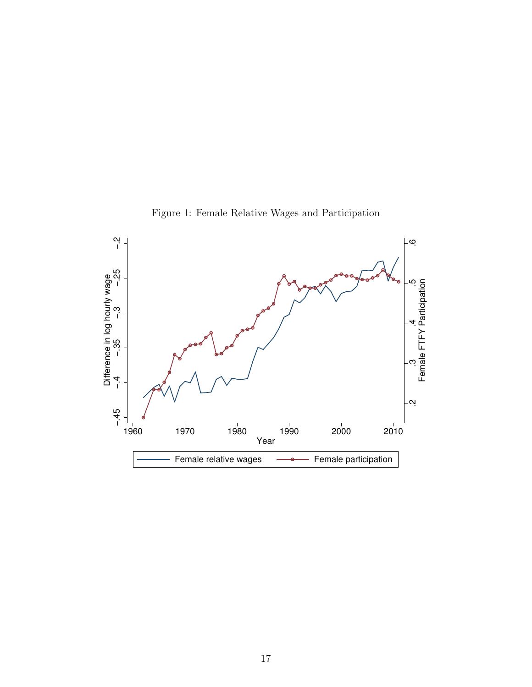

Figure 1: Female Relative Wages and Participation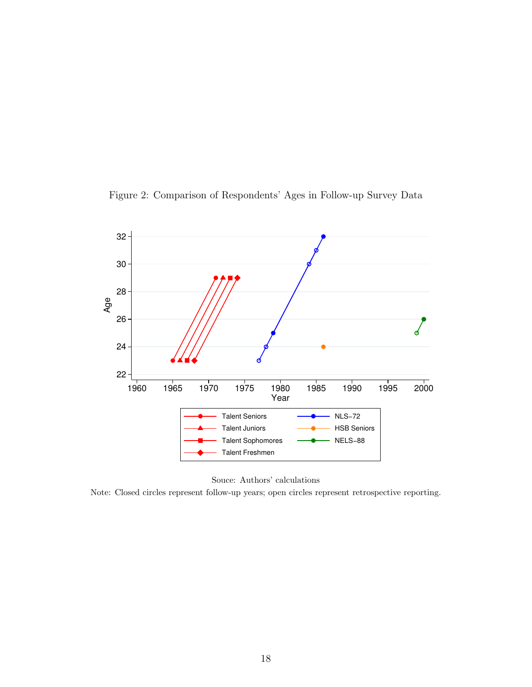Figure 2: Comparison of Respondents' Ages in Follow-up Survey Data



Souce: Authors' calculations

Note: Closed circles represent follow-up years; open circles represent retrospective reporting.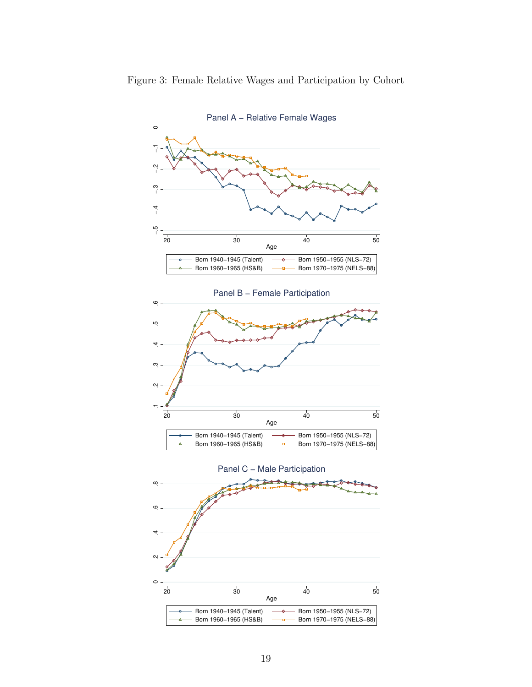

19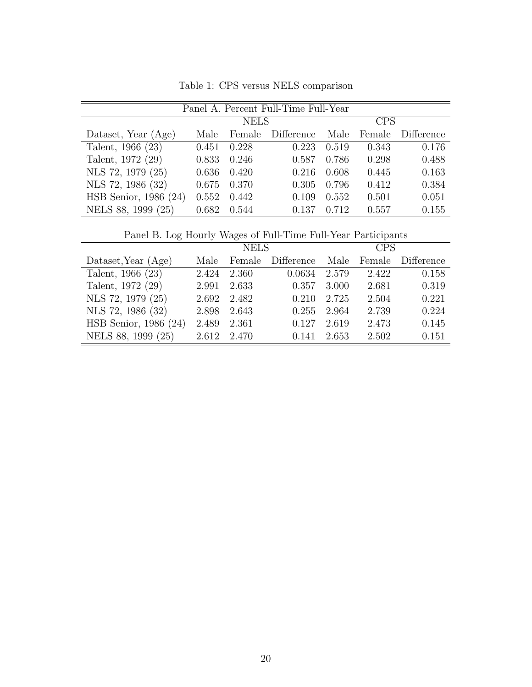| Panel A. Percent Full-Time Full-Year |       |             |            |            |        |            |  |  |
|--------------------------------------|-------|-------------|------------|------------|--------|------------|--|--|
|                                      |       | <b>NELS</b> |            | <b>CPS</b> |        |            |  |  |
| Dataset, Year (Age)                  | Male  | Female      | Difference | Male       | Female | Difference |  |  |
| Talent, 1966 (23)                    | 0.451 | 0.228       | 0.223      | 0.519      | 0.343  | 0.176      |  |  |
| Talent, 1972 (29)                    | 0.833 | 0.246       | 0.587      | 0.786      | 0.298  | 0.488      |  |  |
| NLS 72, 1979 (25)                    | 0.636 | 0.420       | 0.216      | 0.608      | 0.445  | 0.163      |  |  |
| NLS 72, 1986 (32)                    | 0.675 | 0.370       | 0.305      | 0.796      | 0.412  | 0.384      |  |  |
| HSB Senior, 1986 (24)                | 0.552 | 0.442       | 0.109      | 0.552      | 0.501  | 0.051      |  |  |
| NELS 88, 1999 (25)                   | 0.682 | 0.544       | 0.137      | 0.712      | 0.557  | 0.155      |  |  |

Table 1: CPS versus NELS comparison

|  |  |  |  | Panel B. Log Hourly Wages of Full-Time Full-Year Participants |
|--|--|--|--|---------------------------------------------------------------|
|  |  |  |  |                                                               |

| I and D. Dog Hourty wages of I all Thine I all Teat I arrivipation |       |             |            |            |        |            |  |  |
|--------------------------------------------------------------------|-------|-------------|------------|------------|--------|------------|--|--|
|                                                                    |       | <b>NELS</b> |            | <b>CPS</b> |        |            |  |  |
| Dataset, Year (Age)                                                | Male  | Female      | Difference | Male       | Female | Difference |  |  |
| Talent, 1966 (23)                                                  | 2.424 | 2.360       | 0.0634     | 2.579      | 2.422  | 0.158      |  |  |
| Talent, 1972 (29)                                                  | 2.991 | 2.633       | 0.357      | 3.000      | 2.681  | 0.319      |  |  |
| NLS 72, 1979 (25)                                                  | 2.692 | 2.482       | 0.210      | 2.725      | 2.504  | 0.221      |  |  |
| NLS 72, 1986 (32)                                                  | 2.898 | 2.643       | 0.255      | 2.964      | 2.739  | 0.224      |  |  |
| HSB Senior, 1986 (24)                                              | 2.489 | 2.361       | 0.127      | 2.619      | 2.473  | 0.145      |  |  |
| NELS 88, 1999 (25)                                                 | 2.612 | 2.470       | 0.141      | 2.653      | 2.502  | 0.151      |  |  |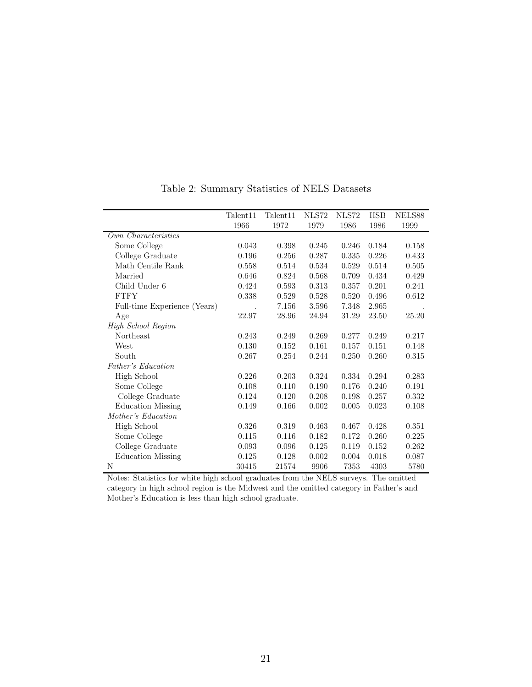|                              | Talent <sub>11</sub> | Talent11 | NLS72     | NLS72 | <b>HSB</b> | NELS88 |
|------------------------------|----------------------|----------|-----------|-------|------------|--------|
|                              | 1966                 | 1972     | 1979      | 1986  | 1986       | 1999   |
| Own Characteristics          |                      |          |           |       |            |        |
| Some College                 | 0.043                | 0.398    | 0.245     | 0.246 | 0.184      | 0.158  |
| College Graduate             | 0.196                | 0.256    | 0.287     | 0.335 | 0.226      | 0.433  |
| Math Centile Rank            | 0.558                | 0.514    | 0.534     | 0.529 | 0.514      | 0.505  |
| Married                      | 0.646                | 0.824    | 0.568     | 0.709 | 0.434      | 0.429  |
| Child Under 6                | 0.424                | 0.593    | 0.313     | 0.357 | 0.201      | 0.241  |
| <b>FTFY</b>                  | 0.338                | 0.529    | 0.528     | 0.520 | 0.496      | 0.612  |
| Full-time Experience (Years) |                      | 7.156    | $3.596\,$ | 7.348 | 2.965      |        |
| Age                          | 22.97                | 28.96    | 24.94     | 31.29 | 23.50      | 25.20  |
| High School Region           |                      |          |           |       |            |        |
| Northeast                    | 0.243                | 0.249    | 0.269     | 0.277 | 0.249      | 0.217  |
| West                         | 0.130                | 0.152    | 0.161     | 0.157 | 0.151      | 0.148  |
| South                        | 0.267                | 0.254    | 0.244     | 0.250 | 0.260      | 0.315  |
| Father's Education           |                      |          |           |       |            |        |
| High School                  | 0.226                | 0.203    | 0.324     | 0.334 | 0.294      | 0.283  |
| Some College                 | 0.108                | 0.110    | 0.190     | 0.176 | 0.240      | 0.191  |
| College Graduate             | 0.124                | 0.120    | 0.208     | 0.198 | 0.257      | 0.332  |
| <b>Education Missing</b>     | 0.149                | 0.166    | 0.002     | 0.005 | 0.023      | 0.108  |
| Mother's Education           |                      |          |           |       |            |        |
| High School                  | 0.326                | 0.319    | 0.463     | 0.467 | 0.428      | 0.351  |
| Some College                 | 0.115                | 0.116    | 0.182     | 0.172 | 0.260      | 0.225  |
| College Graduate             | 0.093                | 0.096    | 0.125     | 0.119 | 0.152      | 0.262  |
| <b>Education Missing</b>     | 0.125                | 0.128    | 0.002     | 0.004 | 0.018      | 0.087  |
| N                            | 30415                | 21574    | 9906      | 7353  | 4303       | 5780   |

Table 2: Summary Statistics of NELS Datasets

Notes: Statistics for white high school graduates from the NELS surveys. The omitted category in high school region is the Midwest and the omitted category in Father's and Mother's Education is less than high school graduate.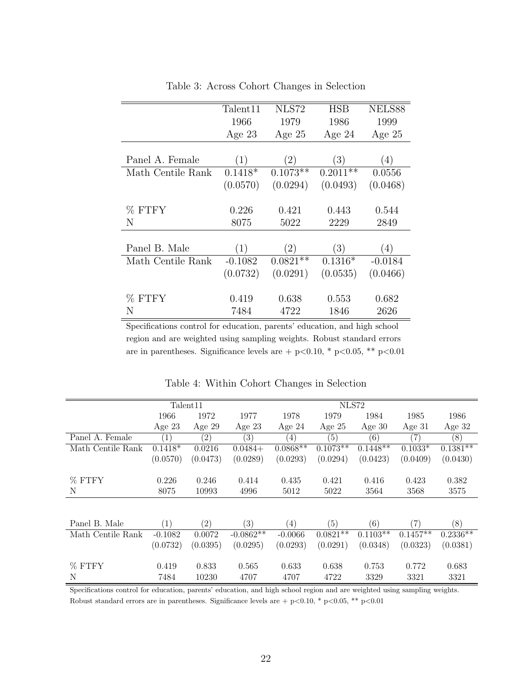|                   | Talent <sub>11</sub> | NLS72             | <b>HSB</b> | NELS88    |
|-------------------|----------------------|-------------------|------------|-----------|
|                   | 1966                 | 1979              | 1986       | 1999      |
|                   | Age $23$             | Age $25$          | Age $24$   | Age $25$  |
|                   |                      |                   |            |           |
| Panel A. Female   | (1)                  | $\left( 2\right)$ | (3)        | (4)       |
| Math Centile Rank | $0.1418*$            | $0.1073**$        | $0.2011**$ | 0.0556    |
|                   | (0.0570)             | (0.0294)          | (0.0493)   | (0.0468)  |
|                   |                      |                   |            |           |
| % FTFY            | 0.226                | 0.421             | 0.443      | 0.544     |
| Ν                 | 8075                 | 5022              | 2229       | 2849      |
|                   |                      |                   |            |           |
| Panel B. Male     | (1)                  | $\left( 2\right)$ | (3)        | (4)       |
| Math Centile Rank | $-0.1082$            | $0.0821**$        | $0.1316*$  | $-0.0184$ |
|                   | (0.0732)             | (0.0291)          | (0.0535)   | (0.0466)  |
|                   |                      |                   |            |           |
| % FTFY            | 0.419                | 0.638             | 0.553      | 0.682     |
| Ν                 | 7484                 | 4722              | 1846       | 2626      |

Table 3: Across Cohort Changes in Selection

Specifications control for education, parents' education, and high school region and are weighted using sampling weights. Robust standard errors are in parentheses. Significance levels are + p<0.10, \* p<0.05, \*\* p<0.01

|                   |                  | Talent <sub>11</sub> |                   |                   |            |                          |               |            |
|-------------------|------------------|----------------------|-------------------|-------------------|------------|--------------------------|---------------|------------|
|                   | 1966             | 1972                 | 1977              | 1978              | 1979       | 1984                     | 1985          | 1986       |
|                   | Age $23$         | Age $29$             | Age $23$          | Age $24$          | Age $25$   | Age $30$                 | Age $31$      | Age $32$   |
| Panel A. Female   | $\left(1\right)$ | $\left( 2\right)$    | $\left( 3\right)$ | (4)               | (5)        | (6)                      | 7)            | (8)        |
| Math Centile Rank | $0.1418*$        | 0.0216               | $0.0484+$         | $0.0868**$        | $0.1073**$ | $0.1448**$               | $0.1033*$     | $0.1381**$ |
|                   | (0.0570)         | (0.0473)             | (0.0289)          | (0.0293)          | (0.0294)   | (0.0423)                 | (0.0409)      | (0.0430)   |
|                   |                  |                      |                   |                   |            |                          |               |            |
| % FTFY            | 0.226            | 0.246                | 0.414             | 0.435             | 0.421      | 0.416                    | 0.423         | 0.382      |
| N                 | 8075             | 10993                | 4996              | 5012              | 5022       | 3564                     | 3568          | 3575       |
|                   |                  |                      |                   |                   |            |                          |               |            |
|                   |                  |                      |                   |                   |            |                          |               |            |
| Panel B. Male     | $\left(1\right)$ | $\left( 2\right)$    | $\left( 3\right)$ | $\left( 4\right)$ | (5)        | (6)                      | $^{\prime}7)$ | (8)        |
| Math Centile Rank | $-0.1082$        | 0.0072               | $-0.0862**$       | $-0.0066$         | $0.0821**$ | $0.110\overline{3^{**}}$ | $0.1457**$    | $0.2336**$ |
|                   | (0.0732)         | (0.0395)             | (0.0295)          | (0.0293)          | (0.0291)   | (0.0348)                 | (0.0323)      | (0.0381)   |
|                   |                  |                      |                   |                   |            |                          |               |            |
| % FTFY            | 0.419            | 0.833                | 0.565             | 0.633             | 0.638      | 0.753                    | 0.772         | 0.683      |
| N                 | 7484             | 10230                | 4707              | 4707              | 4722       | 3329                     | 3321          | 3321       |

Table 4: Within Cohort Changes in Selection

Specifications control for education, parents' education, and high school region and are weighted using sampling weights. Robust standard errors are in parentheses. Significance levels are + p<0.10, \* p<0.05, \*\* p<0.01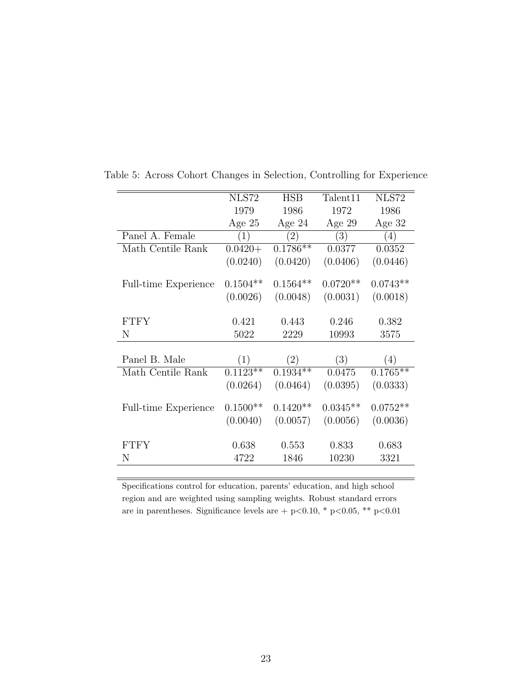|                             | <b>NLS72</b> | <b>HSB</b> | Talent <sub>11</sub> | NLS72      |
|-----------------------------|--------------|------------|----------------------|------------|
|                             | 1979         | 1986       | 1972                 | 1986       |
|                             | Age $25$     | Age $24$   | Age $29$             | Age $32$   |
| Panel A. Female             | (1)          | (2)        | $\left(3\right)$     | (4)        |
| Math Centile Rank           | $0.0420 +$   | $0.1786**$ | 0.0377               | 0.0352     |
|                             | (0.0240)     | (0.0420)   | (0.0406)             | (0.0446)   |
|                             |              |            |                      |            |
| <b>Full-time Experience</b> | $0.1504**$   | $0.1564**$ | $0.0720**$           | $0.0743**$ |
|                             | (0.0026)     | (0.0048)   | (0.0031)             | (0.0018)   |
|                             |              |            |                      |            |
| <b>FTFY</b>                 | 0.421        | 0.443      | 0.246                | 0.382      |
| N                           | 5022         | 2229       | 10993                | 3575       |
|                             |              |            |                      |            |
| Panel B. Male               | (1)          | (2)        | (3)                  | (4)        |
| Math Centile Rank           | $0.1123**$   | $0.1934**$ | 0.0475               | $0.1765**$ |
|                             | (0.0264)     | (0.0464)   | (0.0395)             | (0.0333)   |
|                             |              |            |                      |            |
| <b>Full-time Experience</b> | $0.1500**$   | $0.1420**$ | $0.0345**$           | $0.0752**$ |
|                             | (0.0040)     | (0.0057)   | (0.0056)             | (0.0036)   |
|                             |              |            |                      |            |
| <b>FTFY</b>                 | 0.638        | 0.553      | 0.833                | 0.683      |
| N                           | 4722         | 1846       | 10230                | 3321       |
|                             |              |            |                      |            |

Table 5: Across Cohort Changes in Selection, Controlling for Experience

Specifications control for education, parents' education, and high school region and are weighted using sampling weights. Robust standard errors are in parentheses. Significance levels are + p<0.10, \* p<0.05, \*\* p<0.01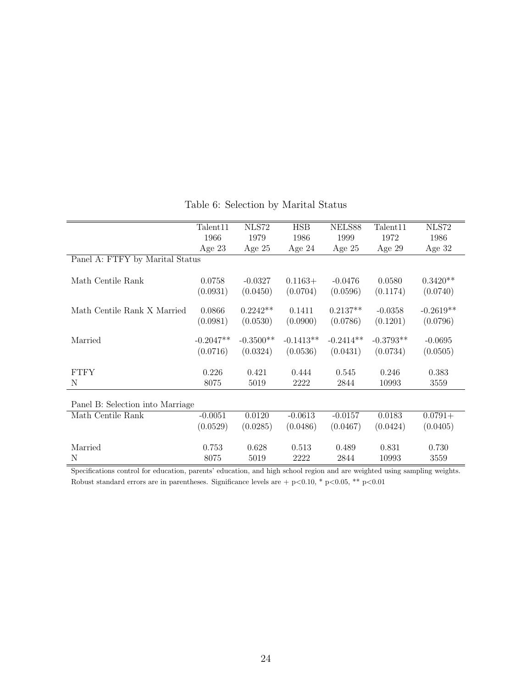|                                  | Talendar11  | NLS72       | <b>HSB</b>  | NELS88      | Talent <sub>11</sub> | <b>NLS72</b> |  |
|----------------------------------|-------------|-------------|-------------|-------------|----------------------|--------------|--|
|                                  | 1966        | 1979        | 1986        | 1999        | 1972                 | 1986         |  |
|                                  | Age $23$    | Age $25$    | Age $24$    | Age $25$    | Age $29$             | Age 32       |  |
| Panel A: FTFY by Marital Status  |             |             |             |             |                      |              |  |
|                                  |             |             |             |             |                      |              |  |
| Math Centile Rank                | 0.0758      | $-0.0327$   | $0.1163+$   | $-0.0476$   | 0.0580               | $0.3420**$   |  |
|                                  | (0.0931)    | (0.0450)    | (0.0704)    | (0.0596)    | (0.1174)             | (0.0740)     |  |
| Math Centile Rank X Married      | 0.0866      | $0.2242**$  | 0.1411      | $0.2137**$  | $-0.0358$            | $-0.2619**$  |  |
|                                  | (0.0981)    | (0.0530)    | (0.0900)    | (0.0786)    | (0.1201)             | (0.0796)     |  |
|                                  |             |             |             |             |                      |              |  |
| Married                          | $-0.2047**$ | $-0.3500**$ | $-0.1413**$ | $-0.2414**$ | $-0.3793**$          | $-0.0695$    |  |
|                                  | (0.0716)    | (0.0324)    | (0.0536)    | (0.0431)    | (0.0734)             | (0.0505)     |  |
|                                  |             |             |             |             |                      |              |  |
| <b>FTFY</b>                      | 0.226       | 0.421       | 0.444       | 0.545       | 0.246                | 0.383        |  |
| N                                | 8075        | 5019        | 2222        | 2844        | 10993                | 3559         |  |
|                                  |             |             |             |             |                      |              |  |
| Panel B: Selection into Marriage |             |             |             |             |                      |              |  |
| Math Centile Rank                | $-0.0051$   | 0.0120      | $-0.0613$   | $-0.0157$   | 0.0183               | $0.0791 +$   |  |
|                                  | (0.0529)    | (0.0285)    | (0.0486)    | (0.0467)    | (0.0424)             | (0.0405)     |  |
|                                  |             |             |             |             |                      |              |  |
| Married                          | 0.753       | 0.628       | 0.513       | 0.489       | 0.831                | 0.730        |  |
| N                                | 8075        | 5019        | 2222        | 2844        | 10993                | 3559         |  |

#### Table 6: Selection by Marital Status

Specifications control for education, parents' education, and high school region and are weighted using sampling weights. Robust standard errors are in parentheses. Significance levels are + p<0.10, \* p<0.05, \*\* p<0.01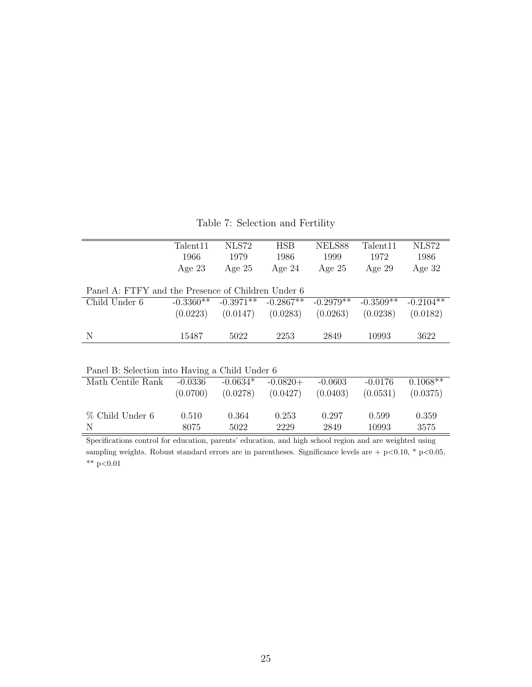Table 7: Selection and Fertility

|                                                    | Talendarall | NLS72       | <b>HSB</b>  | NELS88      | Talent <sub>11</sub> | NLS72       |
|----------------------------------------------------|-------------|-------------|-------------|-------------|----------------------|-------------|
|                                                    | 1966        | 1979        | 1986        | 1999        | 1972                 | 1986        |
|                                                    | Age $23$    | Age $25$    | Age $24$    | Age $25$    | Age $29$             | Age $32$    |
|                                                    |             |             |             |             |                      |             |
| Panel A: FTFY and the Presence of Children Under 6 |             |             |             |             |                      |             |
| Child Under 6                                      | $-0.3360**$ | $-0.3971**$ | $-0.2867**$ | $-0.2979**$ | $-0.3509**$          | $-0.2104**$ |
|                                                    | (0.0223)    | (0.0147)    | (0.0283)    | (0.0263)    | (0.0238)             | (0.0182)    |
|                                                    |             |             |             |             |                      |             |
| N                                                  | 15487       | 5022        | 2253        | 2849        | 10993                | 3622        |
|                                                    |             |             |             |             |                      |             |
|                                                    |             |             |             |             |                      |             |
| Panel B: Selection into Having a Child Under 6     |             |             |             |             |                      |             |
| Math Centile Rank                                  | $-0.0336$   | $-0.0634*$  | $-0.0820+$  | $-0.0603$   | $-0.0176$            | $0.1068**$  |
|                                                    | (0.0700)    | (0.0278)    | (0.0427)    | (0.0403)    | (0.0531)             | (0.0375)    |
|                                                    |             |             |             |             |                      |             |
| % Child Under 6                                    | 0.510       | 0.364       | 0.253       | 0.297       | 0.599                | 0.359       |
| N                                                  | 8075        | 5022        | 2229        | 2849        | 10993                | 3575        |

Specifications control for education, parents' education, and high school region and are weighted using sampling weights. Robust standard errors are in parentheses. Significance levels are + p<0.10, \* p<0.05, \*\*  $p<0.01$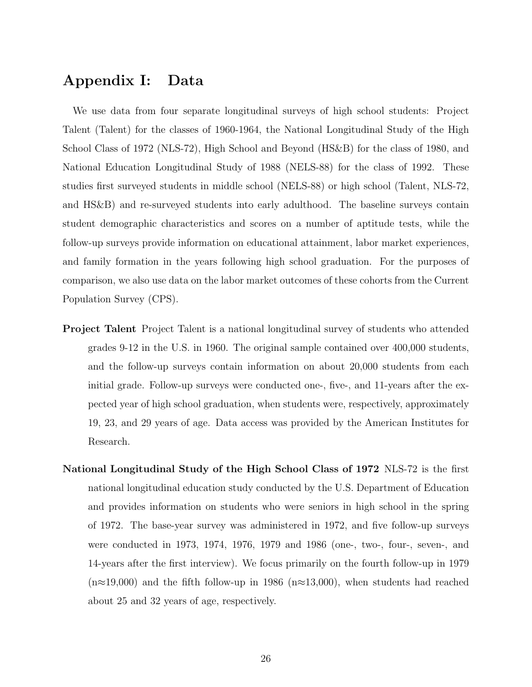# Appendix I: Data

We use data from four separate longitudinal surveys of high school students: Project Talent (Talent) for the classes of 1960-1964, the National Longitudinal Study of the High School Class of 1972 (NLS-72), High School and Beyond (HS&B) for the class of 1980, and National Education Longitudinal Study of 1988 (NELS-88) for the class of 1992. These studies first surveyed students in middle school (NELS-88) or high school (Talent, NLS-72, and HS&B) and re-surveyed students into early adulthood. The baseline surveys contain student demographic characteristics and scores on a number of aptitude tests, while the follow-up surveys provide information on educational attainment, labor market experiences, and family formation in the years following high school graduation. For the purposes of comparison, we also use data on the labor market outcomes of these cohorts from the Current Population Survey (CPS).

- Project Talent Project Talent is a national longitudinal survey of students who attended grades 9-12 in the U.S. in 1960. The original sample contained over 400,000 students, and the follow-up surveys contain information on about 20,000 students from each initial grade. Follow-up surveys were conducted one-, five-, and 11-years after the expected year of high school graduation, when students were, respectively, approximately 19, 23, and 29 years of age. Data access was provided by the American Institutes for Research.
- National Longitudinal Study of the High School Class of 1972 NLS-72 is the first national longitudinal education study conducted by the U.S. Department of Education and provides information on students who were seniors in high school in the spring of 1972. The base-year survey was administered in 1972, and five follow-up surveys were conducted in 1973, 1974, 1976, 1979 and 1986 (one-, two-, four-, seven-, and 14-years after the first interview). We focus primarily on the fourth follow-up in 1979  $(n \approx 19,000)$  and the fifth follow-up in 1986 (n $\approx 13,000$ ), when students had reached about 25 and 32 years of age, respectively.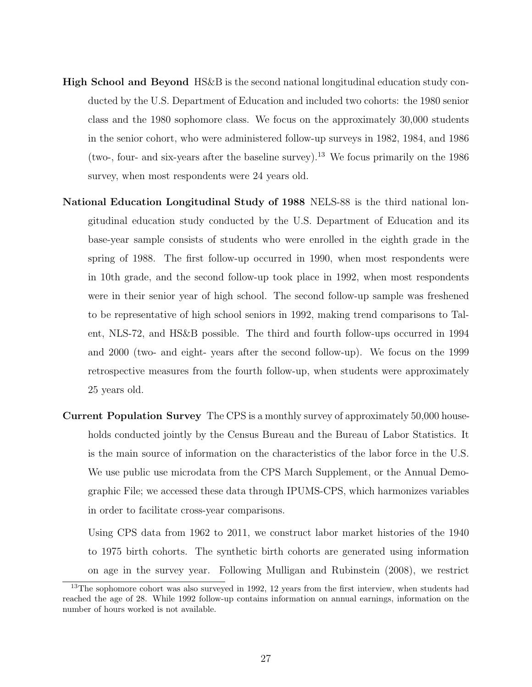- High School and Beyond HS&B is the second national longitudinal education study conducted by the U.S. Department of Education and included two cohorts: the 1980 senior class and the 1980 sophomore class. We focus on the approximately 30,000 students in the senior cohort, who were administered follow-up surveys in 1982, 1984, and 1986 (two-, four- and six-years after the baseline survey).<sup>13</sup> We focus primarily on the  $1986$ survey, when most respondents were 24 years old.
- National Education Longitudinal Study of 1988 NELS-88 is the third national longitudinal education study conducted by the U.S. Department of Education and its base-year sample consists of students who were enrolled in the eighth grade in the spring of 1988. The first follow-up occurred in 1990, when most respondents were in 10th grade, and the second follow-up took place in 1992, when most respondents were in their senior year of high school. The second follow-up sample was freshened to be representative of high school seniors in 1992, making trend comparisons to Talent, NLS-72, and HS&B possible. The third and fourth follow-ups occurred in 1994 and 2000 (two- and eight- years after the second follow-up). We focus on the 1999 retrospective measures from the fourth follow-up, when students were approximately 25 years old.
- Current Population Survey The CPS is a monthly survey of approximately 50,000 households conducted jointly by the Census Bureau and the Bureau of Labor Statistics. It is the main source of information on the characteristics of the labor force in the U.S. We use public use microdata from the CPS March Supplement, or the Annual Demographic File; we accessed these data through IPUMS-CPS, which harmonizes variables in order to facilitate cross-year comparisons.

Using CPS data from 1962 to 2011, we construct labor market histories of the 1940 to 1975 birth cohorts. The synthetic birth cohorts are generated using information on age in the survey year. Following Mulligan and Rubinstein (2008), we restrict

<sup>&</sup>lt;sup>13</sup>The sophomore cohort was also surveyed in 1992, 12 years from the first interview, when students had reached the age of 28. While 1992 follow-up contains information on annual earnings, information on the number of hours worked is not available.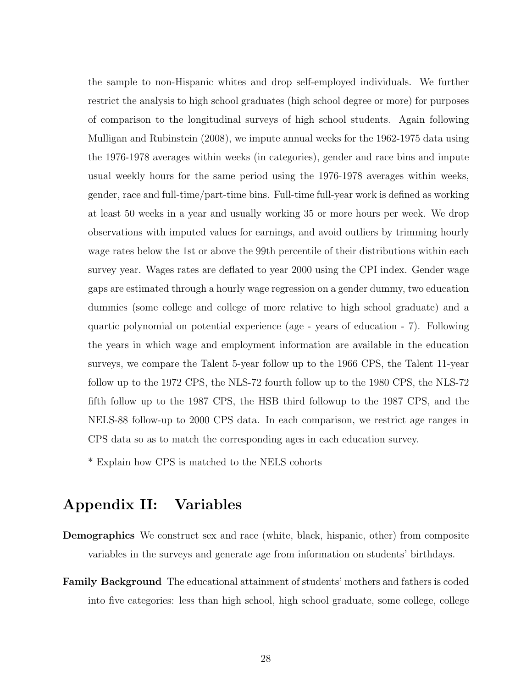the sample to non-Hispanic whites and drop self-employed individuals. We further restrict the analysis to high school graduates (high school degree or more) for purposes of comparison to the longitudinal surveys of high school students. Again following Mulligan and Rubinstein (2008), we impute annual weeks for the 1962-1975 data using the 1976-1978 averages within weeks (in categories), gender and race bins and impute usual weekly hours for the same period using the 1976-1978 averages within weeks, gender, race and full-time/part-time bins. Full-time full-year work is defined as working at least 50 weeks in a year and usually working 35 or more hours per week. We drop observations with imputed values for earnings, and avoid outliers by trimming hourly wage rates below the 1st or above the 99th percentile of their distributions within each survey year. Wages rates are deflated to year 2000 using the CPI index. Gender wage gaps are estimated through a hourly wage regression on a gender dummy, two education dummies (some college and college of more relative to high school graduate) and a quartic polynomial on potential experience (age - years of education - 7). Following the years in which wage and employment information are available in the education surveys, we compare the Talent 5-year follow up to the 1966 CPS, the Talent 11-year follow up to the 1972 CPS, the NLS-72 fourth follow up to the 1980 CPS, the NLS-72 fifth follow up to the 1987 CPS, the HSB third followup to the 1987 CPS, and the NELS-88 follow-up to 2000 CPS data. In each comparison, we restrict age ranges in CPS data so as to match the corresponding ages in each education survey.

\* Explain how CPS is matched to the NELS cohorts

# Appendix II: Variables

- Demographics We construct sex and race (white, black, hispanic, other) from composite variables in the surveys and generate age from information on students' birthdays.
- Family Background The educational attainment of students' mothers and fathers is coded into five categories: less than high school, high school graduate, some college, college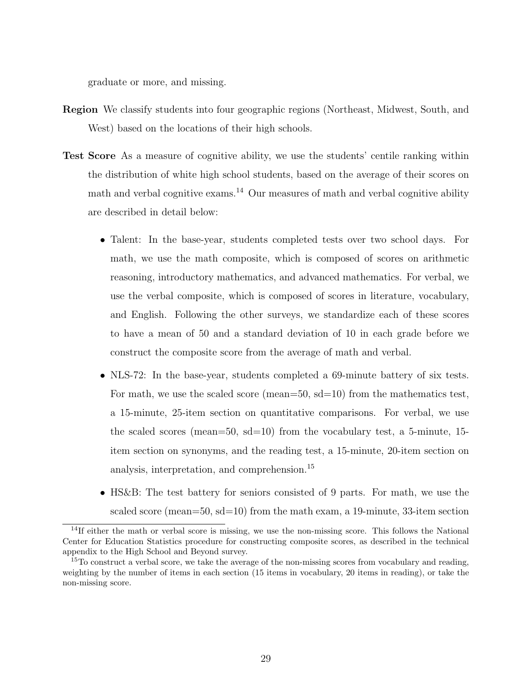graduate or more, and missing.

- Region We classify students into four geographic regions (Northeast, Midwest, South, and West) based on the locations of their high schools.
- Test Score As a measure of cognitive ability, we use the students' centile ranking within the distribution of white high school students, based on the average of their scores on math and verbal cognitive exams.<sup>14</sup> Our measures of math and verbal cognitive ability are described in detail below:
	- Talent: In the base-year, students completed tests over two school days. For math, we use the math composite, which is composed of scores on arithmetic reasoning, introductory mathematics, and advanced mathematics. For verbal, we use the verbal composite, which is composed of scores in literature, vocabulary, and English. Following the other surveys, we standardize each of these scores to have a mean of 50 and a standard deviation of 10 in each grade before we construct the composite score from the average of math and verbal.
	- NLS-72: In the base-year, students completed a 69-minute battery of six tests. For math, we use the scaled score (mean=50, sd=10) from the mathematics test, a 15-minute, 25-item section on quantitative comparisons. For verbal, we use the scaled scores (mean=50, sd=10) from the vocabulary test, a 5-minute, 15 item section on synonyms, and the reading test, a 15-minute, 20-item section on analysis, interpretation, and comprehension.<sup>15</sup>
	- HS&B: The test battery for seniors consisted of 9 parts. For math, we use the scaled score (mean=50,  $sd=10$ ) from the math exam, a 19-minute, 33-item section

<sup>&</sup>lt;sup>14</sup>If either the math or verbal score is missing, we use the non-missing score. This follows the National Center for Education Statistics procedure for constructing composite scores, as described in the technical appendix to the High School and Beyond survey.

 $15$ To construct a verbal score, we take the average of the non-missing scores from vocabulary and reading, weighting by the number of items in each section (15 items in vocabulary, 20 items in reading), or take the non-missing score.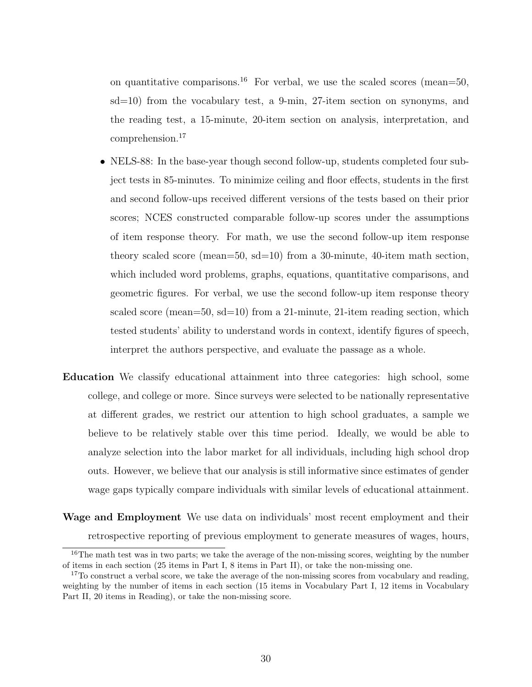on quantitative comparisons.<sup>16</sup> For verbal, we use the scaled scores (mean=50, sd=10) from the vocabulary test, a 9-min, 27-item section on synonyms, and the reading test, a 15-minute, 20-item section on analysis, interpretation, and comprehension.<sup>17</sup>

- NELS-88: In the base-year though second follow-up, students completed four subject tests in 85-minutes. To minimize ceiling and floor effects, students in the first and second follow-ups received different versions of the tests based on their prior scores; NCES constructed comparable follow-up scores under the assumptions of item response theory. For math, we use the second follow-up item response theory scaled score (mean=50, sd=10) from a 30-minute, 40-item math section, which included word problems, graphs, equations, quantitative comparisons, and geometric figures. For verbal, we use the second follow-up item response theory scaled score (mean=50, sd=10) from a 21-minute, 21-item reading section, which tested students' ability to understand words in context, identify figures of speech, interpret the authors perspective, and evaluate the passage as a whole.
- Education We classify educational attainment into three categories: high school, some college, and college or more. Since surveys were selected to be nationally representative at different grades, we restrict our attention to high school graduates, a sample we believe to be relatively stable over this time period. Ideally, we would be able to analyze selection into the labor market for all individuals, including high school drop outs. However, we believe that our analysis is still informative since estimates of gender wage gaps typically compare individuals with similar levels of educational attainment.
- Wage and Employment We use data on individuals' most recent employment and their retrospective reporting of previous employment to generate measures of wages, hours,

<sup>&</sup>lt;sup>16</sup>The math test was in two parts; we take the average of the non-missing scores, weighting by the number of items in each section (25 items in Part I, 8 items in Part II), or take the non-missing one.

 $17$ To construct a verbal score, we take the average of the non-missing scores from vocabulary and reading, weighting by the number of items in each section (15 items in Vocabulary Part I, 12 items in Vocabulary Part II, 20 items in Reading), or take the non-missing score.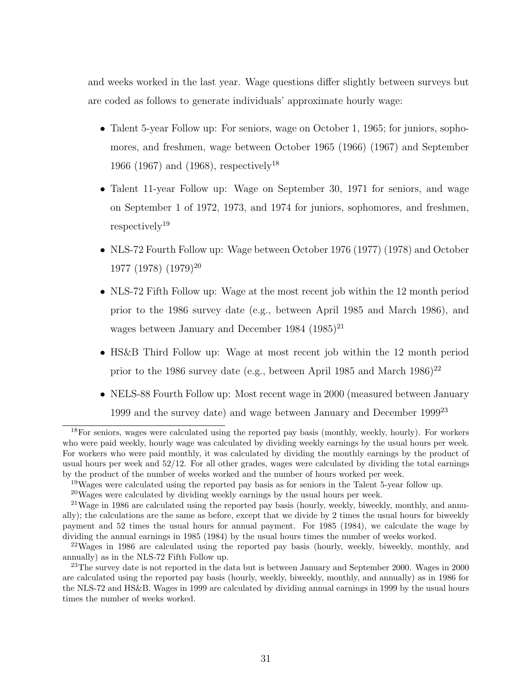and weeks worked in the last year. Wage questions differ slightly between surveys but are coded as follows to generate individuals' approximate hourly wage:

- Talent 5-year Follow up: For seniors, wage on October 1, 1965; for juniors, sophomores, and freshmen, wage between October 1965 (1966) (1967) and September 1966 (1967) and (1968), respectively<sup>18</sup>
- Talent 11-year Follow up: Wage on September 30, 1971 for seniors, and wage on September 1 of 1972, 1973, and 1974 for juniors, sophomores, and freshmen, respectively<sup>19</sup>
- NLS-72 Fourth Follow up: Wage between October 1976 (1977) (1978) and October 1977 (1978) (1979)<sup>20</sup>
- NLS-72 Fifth Follow up: Wage at the most recent job within the 12 month period prior to the 1986 survey date (e.g., between April 1985 and March 1986), and wages between January and December 1984  $(1985)^{21}$
- HS&B Third Follow up: Wage at most recent job within the 12 month period prior to the 1986 survey date (e.g., between April 1985 and March  $1986$ )<sup>22</sup>
- NELS-88 Fourth Follow up: Most recent wage in 2000 (measured between January 1999 and the survey date) and wage between January and December 1999<sup>23</sup>

<sup>18</sup>For seniors, wages were calculated using the reported pay basis (monthly, weekly, hourly). For workers who were paid weekly, hourly wage was calculated by dividing weekly earnings by the usual hours per week. For workers who were paid monthly, it was calculated by dividing the monthly earnings by the product of usual hours per week and 52/12. For all other grades, wages were calculated by dividing the total earnings by the product of the number of weeks worked and the number of hours worked per week.

<sup>&</sup>lt;sup>19</sup>Wages were calculated using the reported pay basis as for seniors in the Talent 5-year follow up.

<sup>20</sup>Wages were calculated by dividing weekly earnings by the usual hours per week.

<sup>&</sup>lt;sup>21</sup>Wage in 1986 are calculated using the reported pay basis (hourly, weekly, biweekly, monthly, and annually); the calculations are the same as before, except that we divide by 2 times the usual hours for biweekly payment and 52 times the usual hours for annual payment. For 1985 (1984), we calculate the wage by dividing the annual earnings in 1985 (1984) by the usual hours times the number of weeks worked.

<sup>&</sup>lt;sup>22</sup>Wages in 1986 are calculated using the reported pay basis (hourly, weekly, biweekly, monthly, and annually) as in the NLS-72 Fifth Follow up.

<sup>&</sup>lt;sup>23</sup>The survey date is not reported in the data but is between January and September 2000. Wages in 2000 are calculated using the reported pay basis (hourly, weekly, biweekly, monthly, and annually) as in 1986 for the NLS-72 and HS&B. Wages in 1999 are calculated by dividing annual earnings in 1999 by the usual hours times the number of weeks worked.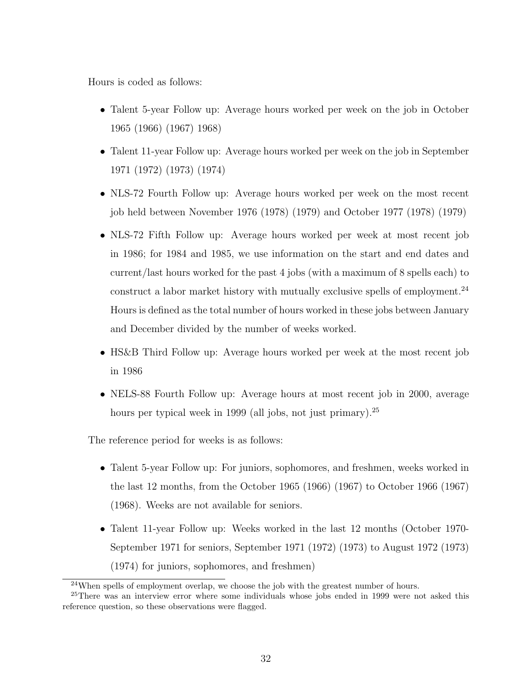Hours is coded as follows:

- Talent 5-year Follow up: Average hours worked per week on the job in October 1965 (1966) (1967) 1968)
- Talent 11-year Follow up: Average hours worked per week on the job in September 1971 (1972) (1973) (1974)
- NLS-72 Fourth Follow up: Average hours worked per week on the most recent job held between November 1976 (1978) (1979) and October 1977 (1978) (1979)
- NLS-72 Fifth Follow up: Average hours worked per week at most recent job in 1986; for 1984 and 1985, we use information on the start and end dates and current/last hours worked for the past 4 jobs (with a maximum of 8 spells each) to construct a labor market history with mutually exclusive spells of employment.<sup>24</sup> Hours is defined as the total number of hours worked in these jobs between January and December divided by the number of weeks worked.
- HS&B Third Follow up: Average hours worked per week at the most recent job in 1986
- NELS-88 Fourth Follow up: Average hours at most recent job in 2000, average hours per typical week in 1999 (all jobs, not just primary).<sup>25</sup>

The reference period for weeks is as follows:

- Talent 5-year Follow up: For juniors, sophomores, and freshmen, weeks worked in the last 12 months, from the October 1965 (1966) (1967) to October 1966 (1967) (1968). Weeks are not available for seniors.
- Talent 11-year Follow up: Weeks worked in the last 12 months (October 1970- September 1971 for seniors, September 1971 (1972) (1973) to August 1972 (1973) (1974) for juniors, sophomores, and freshmen)

 $24$ When spells of employment overlap, we choose the job with the greatest number of hours.

<sup>&</sup>lt;sup>25</sup>There was an interview error where some individuals whose jobs ended in 1999 were not asked this reference question, so these observations were flagged.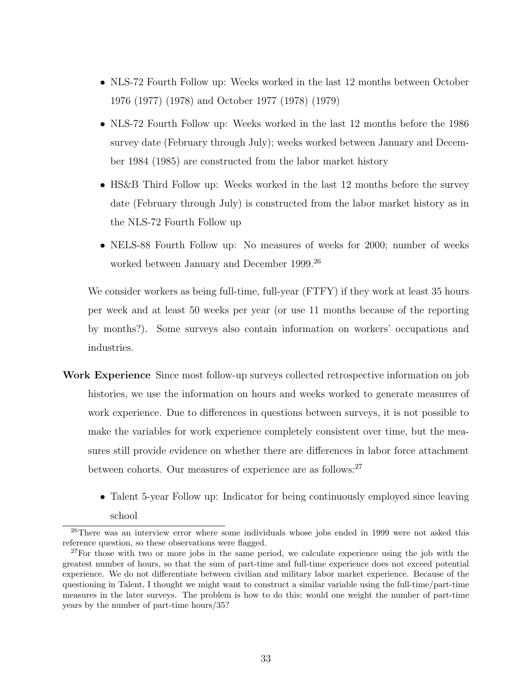- NLS-72 Fourth Follow up: Weeks worked in the last 12 months between October 1976 (1977) (1978) and October 1977 (1978) (1979)
- NLS-72 Fourth Follow up: Weeks worked in the last 12 months before the 1986 survey date (February through July); weeks worked between January and December 1984 (1985) are constructed from the labor market history
- HS&B Third Follow up: Weeks worked in the last 12 months before the survey date (February through July) is constructed from the labor market history as in the NLS-72 Fourth Follow up
- NELS-88 Fourth Follow up: No measures of weeks for 2000; number of weeks worked between January and December 1999.<sup>26</sup>

We consider workers as being full-time, full-year (FTFY) if they work at least 35 hours per week and at least 50 weeks per year (or use 11 months because of the reporting by months?). Some surveys also contain information on workers' occupations and industries.

- Work Experience Since most follow-up surveys collected retrospective information on job histories, we use the information on hours and weeks worked to generate measures of work experience. Due to differences in questions between surveys, it is not possible to make the variables for work experience completely consistent over time, but the measures still provide evidence on whether there are differences in labor force attachment between cohorts. Our measures of experience are as follows:<sup>27</sup>
	- Talent 5-year Follow up: Indicator for being continuously employed since leaving school

<sup>&</sup>lt;sup>26</sup>There was an interview error where some individuals whose jobs ended in 1999 were not asked this reference question, so these observations were flagged.

 $27$  For those with two or more jobs in the same period, we calculate experience using the job with the greatest number of hours, so that the sum of part-time and full-time experience does not exceed potential experience. We do not differentiate between civilian and military labor market experience. Because of the questioning in Talent, I thought we might want to construct a similar variable using the full-time/part-time measures in the later surveys. The problem is how to do this; would one weight the number of part-time years by the number of part-time hours/35?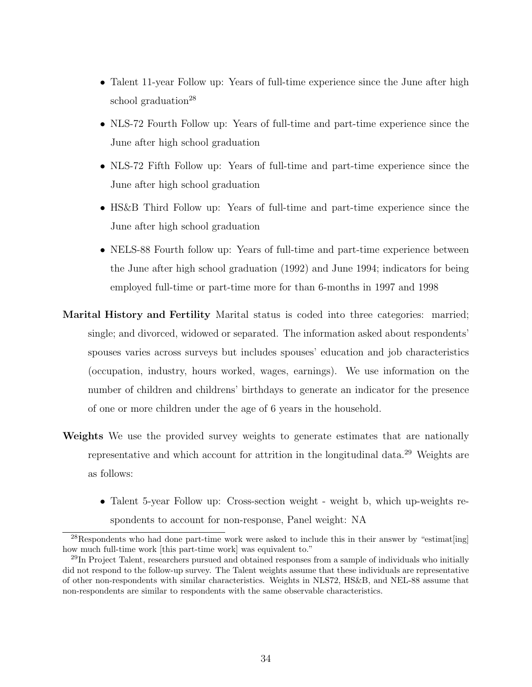- Talent 11-year Follow up: Years of full-time experience since the June after high school graduation<sup>28</sup>
- NLS-72 Fourth Follow up: Years of full-time and part-time experience since the June after high school graduation
- NLS-72 Fifth Follow up: Years of full-time and part-time experience since the June after high school graduation
- HS&B Third Follow up: Years of full-time and part-time experience since the June after high school graduation
- NELS-88 Fourth follow up: Years of full-time and part-time experience between the June after high school graduation (1992) and June 1994; indicators for being employed full-time or part-time more for than 6-months in 1997 and 1998
- Marital History and Fertility Marital status is coded into three categories: married; single; and divorced, widowed or separated. The information asked about respondents' spouses varies across surveys but includes spouses' education and job characteristics (occupation, industry, hours worked, wages, earnings). We use information on the number of children and childrens' birthdays to generate an indicator for the presence of one or more children under the age of 6 years in the household.
- Weights We use the provided survey weights to generate estimates that are nationally representative and which account for attrition in the longitudinal data.<sup>29</sup> Weights are as follows:
	- Talent 5-year Follow up: Cross-section weight weight b, which up-weights respondents to account for non-response, Panel weight: NA

 $^{28}$ Respondents who had done part-time work were asked to include this in their answer by "estimat $[ing]$ how much full-time work [this part-time work] was equivalent to."

 $^{29}$ In Project Talent, researchers pursued and obtained responses from a sample of individuals who initially did not respond to the follow-up survey. The Talent weights assume that these individuals are representative of other non-respondents with similar characteristics. Weights in NLS72, HS&B, and NEL-88 assume that non-respondents are similar to respondents with the same observable characteristics.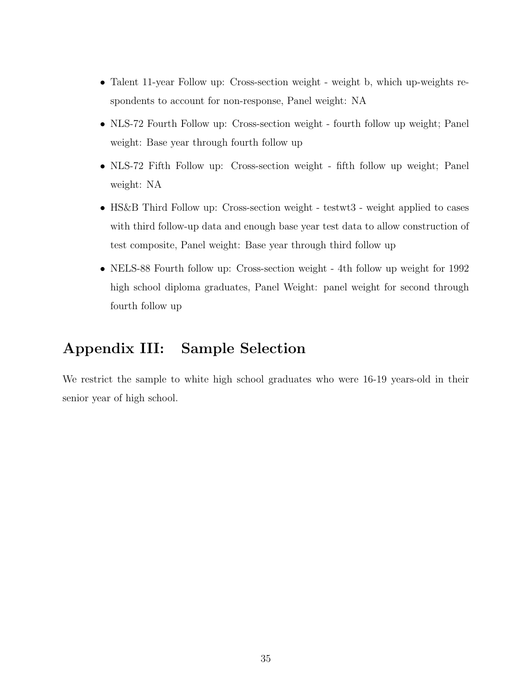- Talent 11-year Follow up: Cross-section weight weight b, which up-weights respondents to account for non-response, Panel weight: NA
- NLS-72 Fourth Follow up: Cross-section weight fourth follow up weight; Panel weight: Base year through fourth follow up
- NLS-72 Fifth Follow up: Cross-section weight fifth follow up weight; Panel weight: NA
- HS&B Third Follow up: Cross-section weight testwt3 weight applied to cases with third follow-up data and enough base year test data to allow construction of test composite, Panel weight: Base year through third follow up
- NELS-88 Fourth follow up: Cross-section weight 4th follow up weight for 1992 high school diploma graduates, Panel Weight: panel weight for second through fourth follow up

# Appendix III: Sample Selection

We restrict the sample to white high school graduates who were 16-19 years-old in their senior year of high school.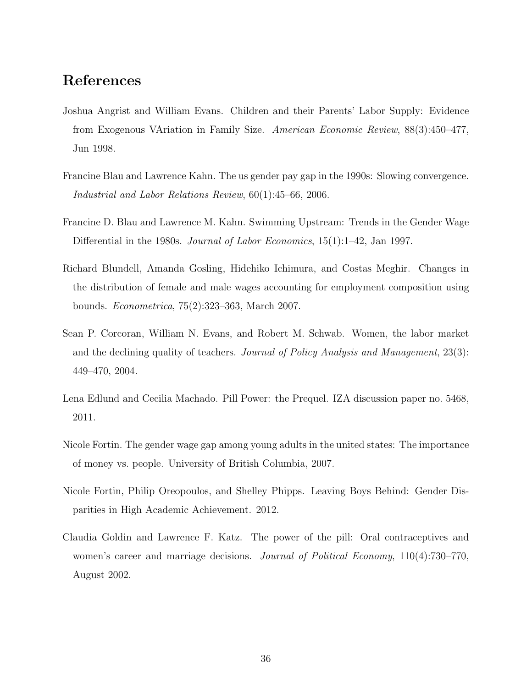### References

- Joshua Angrist and William Evans. Children and their Parents' Labor Supply: Evidence from Exogenous VAriation in Family Size. American Economic Review, 88(3):450–477, Jun 1998.
- Francine Blau and Lawrence Kahn. The us gender pay gap in the 1990s: Slowing convergence. Industrial and Labor Relations Review, 60(1):45–66, 2006.
- Francine D. Blau and Lawrence M. Kahn. Swimming Upstream: Trends in the Gender Wage Differential in the 1980s. *Journal of Labor Economics*, 15(1):1–42, Jan 1997.
- Richard Blundell, Amanda Gosling, Hidehiko Ichimura, and Costas Meghir. Changes in the distribution of female and male wages accounting for employment composition using bounds. Econometrica, 75(2):323–363, March 2007.
- Sean P. Corcoran, William N. Evans, and Robert M. Schwab. Women, the labor market and the declining quality of teachers. Journal of Policy Analysis and Management, 23(3): 449–470, 2004.
- Lena Edlund and Cecilia Machado. Pill Power: the Prequel. IZA discussion paper no. 5468, 2011.
- Nicole Fortin. The gender wage gap among young adults in the united states: The importance of money vs. people. University of British Columbia, 2007.
- Nicole Fortin, Philip Oreopoulos, and Shelley Phipps. Leaving Boys Behind: Gender Disparities in High Academic Achievement. 2012.
- Claudia Goldin and Lawrence F. Katz. The power of the pill: Oral contraceptives and women's career and marriage decisions. *Journal of Political Economy*, 110(4):730–770, August 2002.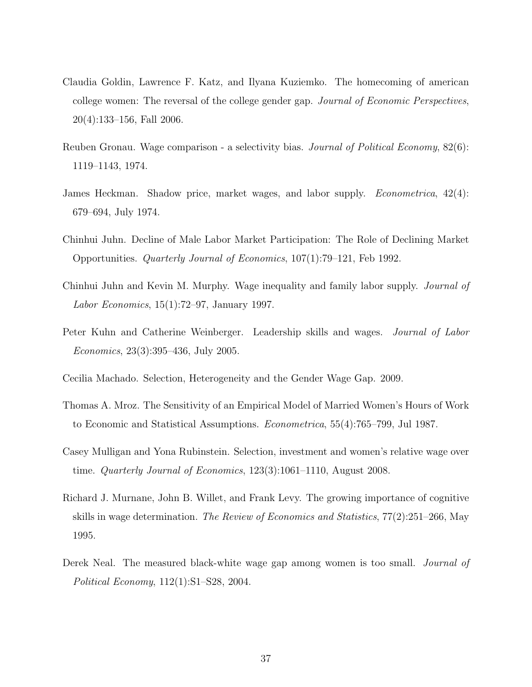- Claudia Goldin, Lawrence F. Katz, and Ilyana Kuziemko. The homecoming of american college women: The reversal of the college gender gap. Journal of Economic Perspectives, 20(4):133–156, Fall 2006.
- Reuben Gronau. Wage comparison a selectivity bias. Journal of Political Economy, 82(6): 1119–1143, 1974.
- James Heckman. Shadow price, market wages, and labor supply. Econometrica, 42(4): 679–694, July 1974.
- Chinhui Juhn. Decline of Male Labor Market Participation: The Role of Declining Market Opportunities. Quarterly Journal of Economics, 107(1):79–121, Feb 1992.
- Chinhui Juhn and Kevin M. Murphy. Wage inequality and family labor supply. Journal of Labor Economics, 15(1):72–97, January 1997.
- Peter Kuhn and Catherine Weinberger. Leadership skills and wages. Journal of Labor Economics, 23(3):395–436, July 2005.
- Cecilia Machado. Selection, Heterogeneity and the Gender Wage Gap. 2009.
- Thomas A. Mroz. The Sensitivity of an Empirical Model of Married Women's Hours of Work to Economic and Statistical Assumptions. Econometrica, 55(4):765–799, Jul 1987.
- Casey Mulligan and Yona Rubinstein. Selection, investment and women's relative wage over time. Quarterly Journal of Economics, 123(3):1061–1110, August 2008.
- Richard J. Murnane, John B. Willet, and Frank Levy. The growing importance of cognitive skills in wage determination. The Review of Economics and Statistics, 77(2):251–266, May 1995.
- Derek Neal. The measured black-white wage gap among women is too small. *Journal of* Political Economy, 112(1):S1–S28, 2004.